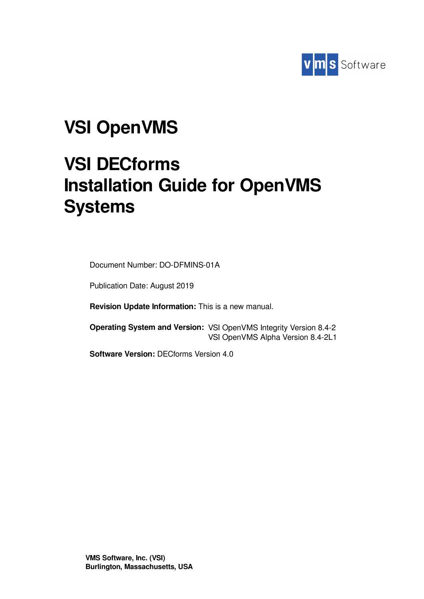

# **VSI OpenVMS**

# **VSI DECforms Installation Guide for OpenVMS Systems**

Document Number: DO-DFMINS-01A

Publication Date: August 2019

**Revision Update Information:** This is a new manual.

**Operating System and Version:** VSI OpenVMS Integrity Version 8.4-2 VSI OpenVMS Alpha Version 8.4-2L1

**Software Version:** DECforms Version 4.0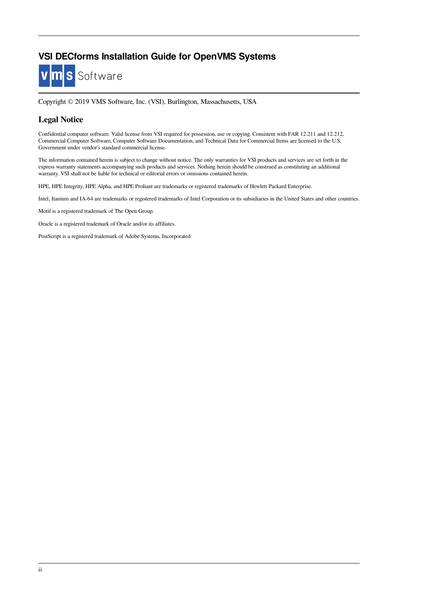### **VSI DECforms Installation Guide for OpenVMS Systems**



Copyright © 2019 VMS Software, Inc. (VSI), Burlington, Massachusetts, USA

### **Legal Notice**

Confidential computer software. Valid license from VSI required for possession, use or copying. Consistent with FAR 12.211 and 12.212, Commercial Computer Software, Computer Software Documentation, and Technical Data for Commercial Items are licensed to the U.S. Government under vendor's standard commercial license.

The information contained herein is subject to change without notice. The only warranties for VSI products and services are set forth in the express warranty statements accompanying such products and services. Nothing herein should be construed as constituting an additional warranty. VSI shall not be liable for technical or editorial errors or omissions contained herein.

HPE, HPE Integrity, HPE Alpha, and HPE Proliant are trademarks or registered trademarks of Hewlett Packard Enterprise.

Intel, Itanium and IA-64 are trademarks or registered trademarks of Intel Corporation or its subsidiaries in the United States and other countries.

Motif is a registered trademark of The Open Group.

Oracle is a registered trademark of Oracle and/or its affiliates.

PostScript is a registered trademark of Adobe Systems, Incorporated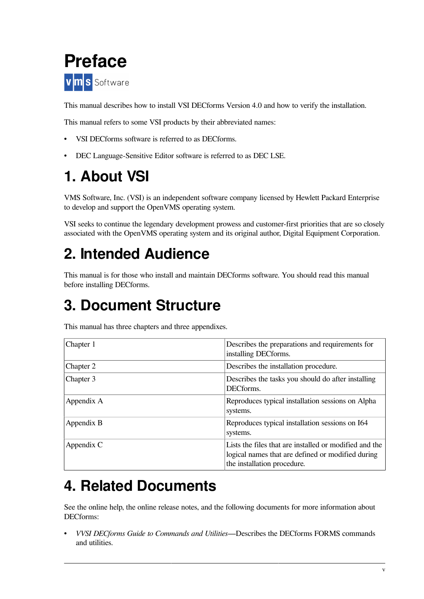<span id="page-4-0"></span>

This manual describes how to install VSI DECforms Version 4.0 and how to verify the installation.

This manual refers to some VSI products by their abbreviated names:

- VSI DECforms software is referred to as DECforms.
- DEC Language-Sensitive Editor software is referred to as DEC LSE.

## <span id="page-4-1"></span>**1. About VSI**

VMS Software, Inc. (VSI) is an independent software company licensed by Hewlett Packard Enterprise to develop and support the OpenVMS operating system.

VSI seeks to continue the legendary development prowess and customer-first priorities that are so closely associated with the OpenVMS operating system and its original author, Digital Equipment Corporation.

## <span id="page-4-2"></span>**2. Intended Audience**

This manual is for those who install and maintain DECforms software. You should read this manual before installing DECforms.

## <span id="page-4-3"></span>**3. Document Structure**

This manual has three chapters and three appendixes.

| Chapter 1  | Describes the preparations and requirements for<br>installing DECforms.                                                                    |
|------------|--------------------------------------------------------------------------------------------------------------------------------------------|
| Chapter 2  | Describes the installation procedure.                                                                                                      |
| Chapter 3  | Describes the tasks you should do after installing<br>DECforms.                                                                            |
| Appendix A | Reproduces typical installation sessions on Alpha<br>systems.                                                                              |
| Appendix B | Reproduces typical installation sessions on I64<br>systems.                                                                                |
| Appendix C | Lists the files that are installed or modified and the<br>logical names that are defined or modified during<br>the installation procedure. |

## <span id="page-4-4"></span>**4. Related Documents**

See the online help, the online release notes, and the following documents for more information about DECforms:

• *VVSI DECforms Guide to Commands and Utilities*—Describes the DECforms FORMS commands and utilities.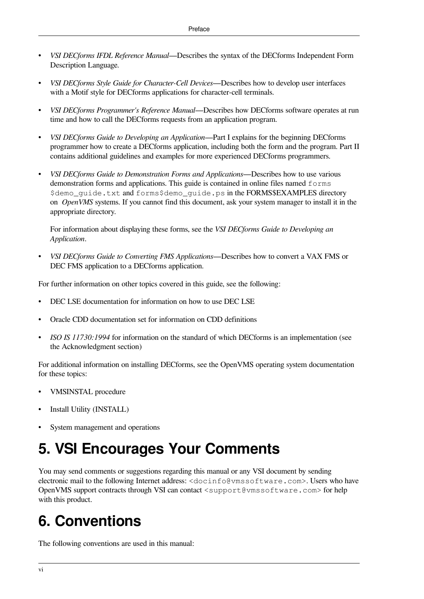- *VSI DECforms IFDL Reference Manual*—Describes the syntax of the DECforms Independent Form Description Language.
- *VSI DECforms Style Guide for Character-Cell Devices*—Describes how to develop user interfaces with a Motif style for DECforms applications for character-cell terminals.
- *VSI DECforms Programmer's Reference Manual*—Describes how DECforms software operates at run time and how to call the DECforms requests from an application program.
- *VSI DECforms Guide to Developing an Application*—Part I explains for the beginning DECforms programmer how to create a DECforms application, including both the form and the program. Part II contains additional guidelines and examples for more experienced DECforms programmers.
- *VSI DECforms Guide to Demonstration Forms and Applications*—Describes how to use various demonstration forms and applications. This guide is contained in online files named forms \$demo\_guide.txt and forms\$demo\_guide.ps in the FORMS\$EXAMPLES directory on *OpenVMS* systems. If you cannot find this document, ask your system manager to install it in the appropriate directory.

For information about displaying these forms, see the *VSI DECforms Guide to Developing an Application*.

• *VSI DECforms Guide to Converting FMS Applications*—Describes how to convert a VAX FMS or DEC FMS application to a DECforms application.

For further information on other topics covered in this guide, see the following:

- DEC LSE documentation for information on how to use DEC LSE
- Oracle CDD documentation set for information on CDD definitions
- *ISO IS 11730:1994* for information on the standard of which DECforms is an implementation (see the Acknowledgment section)

For additional information on installing DECforms, see the OpenVMS operating system documentation for these topics:

- VMSINSTAL procedure
- Install Utility (INSTALL)
- System management and operations

## <span id="page-5-0"></span>**5. VSI Encourages Your Comments**

You may send comments or suggestions regarding this manual or any VSI document by sending electronic mail to the following Internet address: <docinfo@vmssoftware.com>. Users who have OpenVMS support contracts through VSI can contact <support@vmssoftware.com> for help with this product.

## <span id="page-5-1"></span>**6. Conventions**

The following conventions are used in this manual: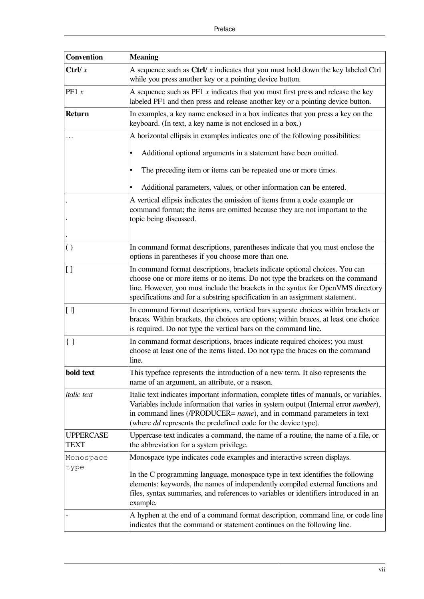| <b>Convention</b>        | <b>Meaning</b>                                                                                                                                                                                                                                                                                                                   |
|--------------------------|----------------------------------------------------------------------------------------------------------------------------------------------------------------------------------------------------------------------------------------------------------------------------------------------------------------------------------|
| Ctrl/ $x$                | A sequence such as $Ctrl/x$ indicates that you must hold down the key labeled Ctrl<br>while you press another key or a pointing device button.                                                                                                                                                                                   |
| PF1 $x$                  | A sequence such as $PF1 x$ indicates that you must first press and release the key<br>labeled PF1 and then press and release another key or a pointing device button.                                                                                                                                                            |
| <b>Return</b>            | In examples, a key name enclosed in a box indicates that you press a key on the<br>keyboard. (In text, a key name is not enclosed in a box.)                                                                                                                                                                                     |
|                          | A horizontal ellipsis in examples indicates one of the following possibilities:                                                                                                                                                                                                                                                  |
|                          | Additional optional arguments in a statement have been omitted.<br>٠                                                                                                                                                                                                                                                             |
|                          | The preceding item or items can be repeated one or more times.<br>٠                                                                                                                                                                                                                                                              |
|                          | Additional parameters, values, or other information can be entered.<br>٠                                                                                                                                                                                                                                                         |
|                          | A vertical ellipsis indicates the omission of items from a code example or<br>command format; the items are omitted because they are not important to the                                                                                                                                                                        |
|                          | topic being discussed.                                                                                                                                                                                                                                                                                                           |
|                          |                                                                                                                                                                                                                                                                                                                                  |
| $\left( \ \right)$       | In command format descriptions, parentheses indicate that you must enclose the<br>options in parentheses if you choose more than one.                                                                                                                                                                                            |
| $\overline{1}$           | In command format descriptions, brackets indicate optional choices. You can<br>choose one or more items or no items. Do not type the brackets on the command<br>line. However, you must include the brackets in the syntax for OpenVMS directory<br>specifications and for a substring specification in an assignment statement. |
| [ I]                     | In command format descriptions, vertical bars separate choices within brackets or<br>braces. Within brackets, the choices are options; within braces, at least one choice<br>is required. Do not type the vertical bars on the command line.                                                                                     |
| $\{\ \}$                 | In command format descriptions, braces indicate required choices; you must<br>choose at least one of the items listed. Do not type the braces on the command<br>line.                                                                                                                                                            |
| bold text                | This typeface represents the introduction of a new term. It also represents the<br>name of an argument, an attribute, or a reason.                                                                                                                                                                                               |
| <i>italic</i> text       | Italic text indicates important information, complete titles of manuals, or variables.<br>Variables include information that varies in system output (Internal error number),<br>in command lines (/PRODUCER= name), and in command parameters in text<br>(where <i>dd</i> represents the predefined code for the device type).  |
| <b>UPPERCASE</b><br>TEXT | Uppercase text indicates a command, the name of a routine, the name of a file, or<br>the abbreviation for a system privilege.                                                                                                                                                                                                    |
| Monospace                | Monospace type indicates code examples and interactive screen displays.                                                                                                                                                                                                                                                          |
| type                     | In the C programming language, monospace type in text identifies the following<br>elements: keywords, the names of independently compiled external functions and<br>files, syntax summaries, and references to variables or identifiers introduced in an<br>example.                                                             |
|                          | A hyphen at the end of a command format description, command line, or code line<br>indicates that the command or statement continues on the following line.                                                                                                                                                                      |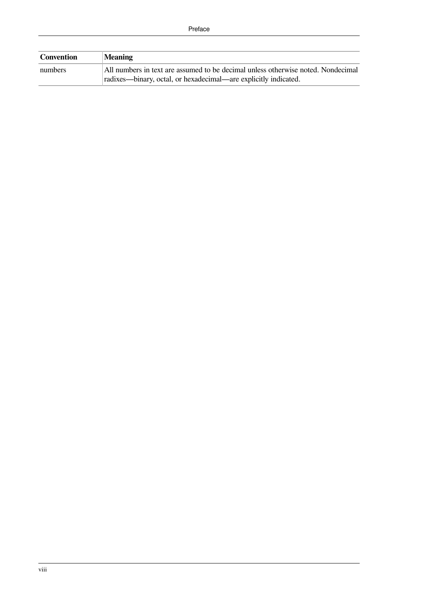| Convention | <b>Meaning</b>                                                                   |
|------------|----------------------------------------------------------------------------------|
| numbers    | All numbers in text are assumed to be decimal unless otherwise noted. Nondecimal |
|            | radixes—binary, octal, or hexadecimal—are explicitly indicated.                  |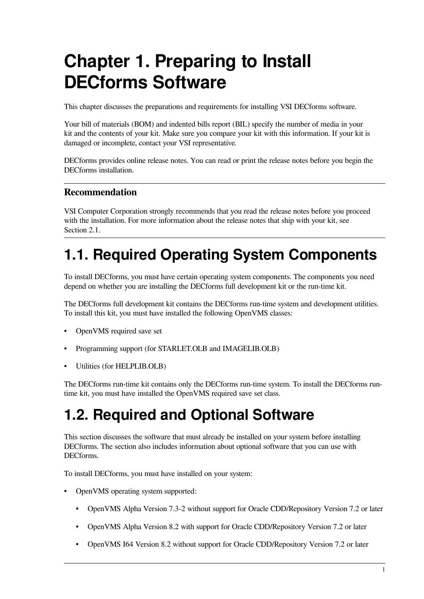# <span id="page-8-0"></span>**Chapter 1. Preparing to Install DECforms Software**

This chapter discusses the preparations and requirements for installing VSI DECforms software.

Your bill of materials (BOM) and indented bills report (BIL) specify the number of media in your kit and the contents of your kit. Make sure you compare your kit with this information. If your kit is damaged or incomplete, contact your VSI representative.

DECforms provides online release notes. You can read or print the release notes before you begin the DECforms installation.

### **Recommendation**

VSI Computer Corporation strongly recommends that you read the release notes before you proceed with the installation. For more information about the release notes that ship with your kit, see [Section](#page-12-1) 2.1.

## <span id="page-8-1"></span>**1.1. Required Operating System Components**

To install DECforms, you must have certain operating system components. The components you need depend on whether you are installing the DECforms full development kit or the run-time kit.

The DECforms full development kit contains the DECforms run-time system and development utilities. To install this kit, you must have installed the following OpenVMS classes:

- OpenVMS required save set
- Programming support (for STARLET.OLB and IMAGELIB.OLB)
- Utilities (for HELPLIB.OLB)

The DECforms run-time kit contains only the DECforms run-time system. To install the DECforms runtime kit, you must have installed the OpenVMS required save set class.

## <span id="page-8-2"></span>**1.2. Required and Optional Software**

This section discusses the software that must already be installed on your system before installing DECforms. The section also includes information about optional software that you can use with DECforms.

To install DECforms, you must have installed on your system:

- OpenVMS operating system supported:
	- OpenVMS Alpha Version 7.3-2 without support for Oracle CDD/Repository Version 7.2 or later
	- OpenVMS Alpha Version 8.2 with support for Oracle CDD/Repository Version 7.2 or later
	- OpenVMS I64 Version 8.2 without support for Oracle CDD/Repository Version 7.2 or later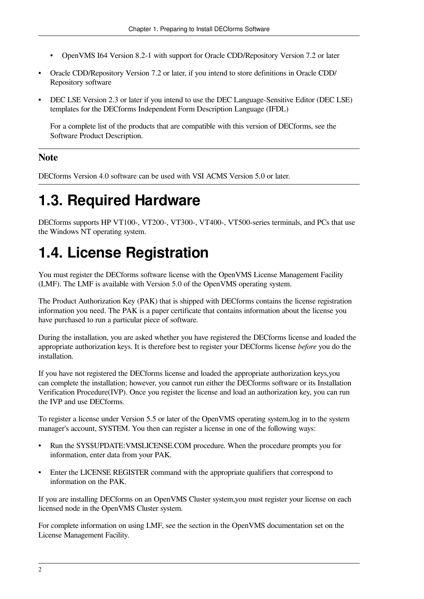- OpenVMS I64 Version 8.2-1 with support for Oracle CDD/Repository Version 7.2 or later
- Oracle CDD/Repository Version 7.2 or later, if you intend to store definitions in Oracle CDD/ Repository software
- DEC LSE Version 2.3 or later if you intend to use the DEC Language-Sensitive Editor (DEC LSE) templates for the DECforms Independent Form Description Language (IFDL)

For a complete list of the products that are compatible with this version of DECforms, see the Software Product Description.

### **Note**

DECforms Version 4.0 software can be used with VSI ACMS Version 5.0 or later.

## <span id="page-9-0"></span>**1.3. Required Hardware**

DECforms supports HP VT100-, VT200-, VT300-, VT400-, VT500-series terminals, and PCs that use the Windows NT operating system.

## <span id="page-9-1"></span>**1.4. License Registration**

You must register the DECforms software license with the OpenVMS License Management Facility (LMF). The LMF is available with Version 5.0 of the OpenVMS operating system.

The Product Authorization Key (PAK) that is shipped with DECforms contains the license registration information you need. The PAK is a paper certificate that contains information about the license you have purchased to run a particular piece of software.

During the installation, you are asked whether you have registered the DECforms license and loaded the appropriate authorization keys. It is therefore best to register your DECforms license *before* you do the installation.

If you have not registered the DECforms license and loaded the appropriate authorization keys,you can complete the installation; however, you cannot run either the DECforms software or its Installation Verification Procedure(IVP). Once you register the license and load an authorization key, you can run the IVP and use DECforms.

To register a license under Version 5.5 or later of the OpenVMS operating system,log in to the system manager's account, SYSTEM. You then can register a license in one of the following ways:

- Run the SYS\$UPDATE:VMSLICENSE.COM procedure. When the procedure prompts you for information, enter data from your PAK.
- Enter the LICENSE REGISTER command with the appropriate qualifiers that correspond to information on the PAK.

If you are installing DECforms on an OpenVMS Cluster system,you must register your license on each licensed node in the OpenVMS Cluster system.

For complete information on using LMF, see the section in the OpenVMS documentation set on the License Management Facility.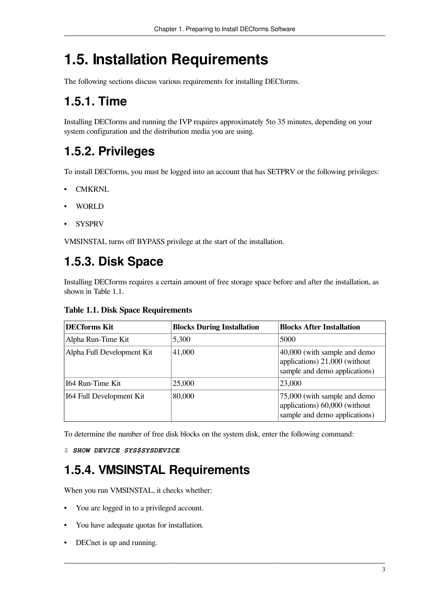## <span id="page-10-0"></span>**1.5. Installation Requirements**

The following sections discuss various requirements for installing DECforms.

### <span id="page-10-1"></span>**1.5.1. Time**

Installing DECforms and running the IVP requires approximately 5to 35 minutes, depending on your system configuration and the distribution media you are using.

### <span id="page-10-2"></span>**1.5.2. Privileges**

To install DECforms, you must be logged into an account that has SETPRV or the following privileges:

- CMKRNL
- WORLD
- SYSPRV

VMSINSTAL turns off BYPASS privilege at the start of the installation.

### <span id="page-10-3"></span>**1.5.3. Disk Space**

Installing DECforms requires a certain amount of free storage space before and after the installation, as shown in [Table](#page-10-5) 1.1.

<span id="page-10-5"></span>**Table 1.1. Disk Space Requirements**

| <b>DECforms Kit</b>        | <b>Blocks During Installation</b> | <b>Blocks After Installation</b>                                                                   |
|----------------------------|-----------------------------------|----------------------------------------------------------------------------------------------------|
| Alpha Run-Time Kit         | 5,300                             | 5000                                                                                               |
| Alpha Full Development Kit | 41,000                            | $ 40,000$ (with sample and demo-<br>applications) 21,000 (without<br>sample and demo applications) |
| 164 Run-Time Kit           | 25,000                            | 23,000                                                                                             |
| 164 Full Development Kit   | 80,000                            | 75,000 (with sample and demo-<br>applications) 60,000 (without<br>sample and demo applications)    |

To determine the number of free disk blocks on the system disk, enter the following command:

<span id="page-10-4"></span>\$ *SHOW DEVICE SYS\$SYSDEVICE*

### **1.5.4. VMSINSTAL Requirements**

When you run VMSINSTAL, it checks whether:

- You are logged in to a privileged account.
- You have adequate quotas for installation.
- DECnet is up and running.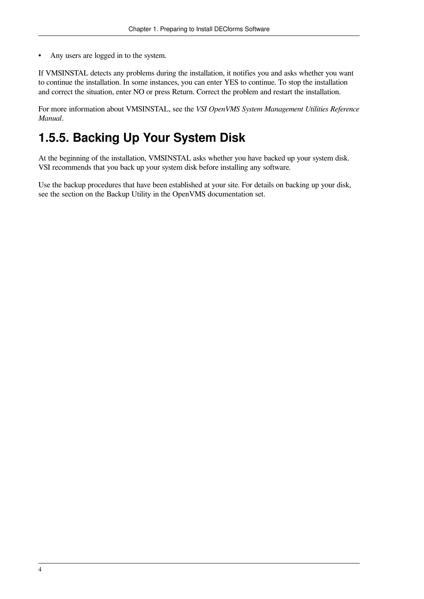• Any users are logged in to the system.

If VMSINSTAL detects any problems during the installation, it notifies you and asks whether you want to continue the installation. In some instances, you can enter YES to continue. To stop the installation and correct the situation, enter NO or press Return. Correct the problem and restart the installation.

For more information about VMSINSTAL, see the *VSI OpenVMS System Management Utilities Reference Manual*.

### <span id="page-11-0"></span>**1.5.5. Backing Up Your System Disk**

At the beginning of the installation, VMSINSTAL asks whether you have backed up your system disk. VSI recommends that you back up your system disk before installing any software.

Use the backup procedures that have been established at your site. For details on backing up your disk, see the section on the Backup Utility in the OpenVMS documentation set.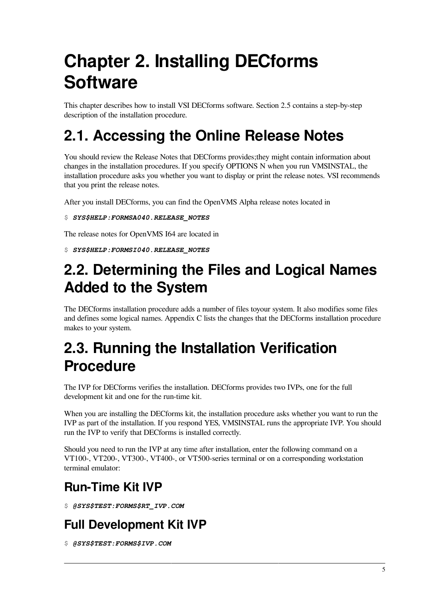# <span id="page-12-0"></span>**Chapter 2. Installing DECforms Software**

This chapter describes how to install VSI DECforms software. [Section](#page-13-1) 2.5 contains a step-by-step description of the installation procedure.

## <span id="page-12-1"></span>**2.1. Accessing the Online Release Notes**

You should review the Release Notes that DECforms provides;they might contain information about changes in the installation procedures. If you specify OPTIONS N when you run VMSINSTAL, the installation procedure asks you whether you want to display or print the release notes. VSI recommends that you print the release notes.

After you install DECforms, you can find the OpenVMS Alpha release notes located in

### \$ *SYS\$HELP:FORMSA040.RELEASE\_NOTES*

The release notes for OpenVMS I64 are located in

\$ *SYS\$HELP:FORMSI040.RELEASE\_NOTES*

## <span id="page-12-2"></span>**2.2. Determining the Files and Logical Names Added to the System**

The DECforms installation procedure adds a number of files toyour system. It also modifies some files and defines some logical names. [Appendix](#page-54-0) C lists the changes that the DECforms installation procedure makes to your system.

## <span id="page-12-3"></span>**2.3. Running the Installation Verification Procedure**

The IVP for DECforms verifies the installation. DECforms provides two IVPs, one for the full development kit and one for the run-time kit.

When you are installing the DECforms kit, the installation procedure asks whether you want to run the IVP as part of the installation. If you respond YES, VMSINSTAL runs the appropriate IVP. You should run the IVP to verify that DECforms is installed correctly.

Should you need to run the IVP at any time after installation, enter the following command on a VT100-, VT200-, VT300-, VT400-, or VT500-series terminal or on a corresponding workstation terminal emulator:

### **Run-Time Kit IVP**

\$ *@SYS\$TEST:FORMS\$RT\_IVP.COM*

### **Full Development Kit IVP**

\$ *@SYS\$TEST:FORMS\$IVP.COM*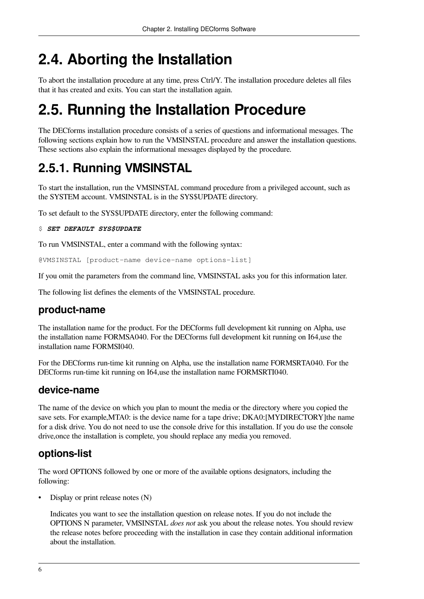## <span id="page-13-0"></span>**2.4. Aborting the Installation**

To abort the installation procedure at any time, press Ctrl/Y. The installation procedure deletes all files that it has created and exits. You can start the installation again.

## <span id="page-13-1"></span>**2.5. Running the Installation Procedure**

The DECforms installation procedure consists of a series of questions and informational messages. The following sections explain how to run the VMSINSTAL procedure and answer the installation questions. These sections also explain the informational messages displayed by the procedure.

## <span id="page-13-2"></span>**2.5.1. Running VMSINSTAL**

To start the installation, run the VMSINSTAL command procedure from a privileged account, such as the SYSTEM account. VMSINSTAL is in the SYS\$UPDATE directory.

To set default to the SYS\$UPDATE directory, enter the following command:

```
$ SET DEFAULT SYS$UPDATE
```
To run VMSINSTAL, enter a command with the following syntax:

@VMSINSTAL [product-name device-name options-list]

If you omit the parameters from the command line, VMSINSTAL asks you for this information later.

The following list defines the elements of the VMSINSTAL procedure.

### **product-name**

The installation name for the product. For the DECforms full development kit running on Alpha, use the installation name FORMSA040. For the DECforms full development kit running on I64,use the installation name FORMSI040.

For the DECforms run-time kit running on Alpha, use the installation name FORMSRTA040. For the DECforms run-time kit running on I64,use the installation name FORMSRTI040.

### **device-name**

The name of the device on which you plan to mount the media or the directory where you copied the save sets. For example, MTA0: is the device name for a tape drive; DKA0: [MYDIRECTORY] the name for a disk drive. You do not need to use the console drive for this installation. If you do use the console drive,once the installation is complete, you should replace any media you removed.

### **options-list**

The word OPTIONS followed by one or more of the available options designators, including the following:

Display or print release notes (N)

Indicates you want to see the installation question on release notes. If you do not include the OPTIONS N parameter, VMSINSTAL *does not* ask you about the release notes. You should review the release notes before proceeding with the installation in case they contain additional information about the installation.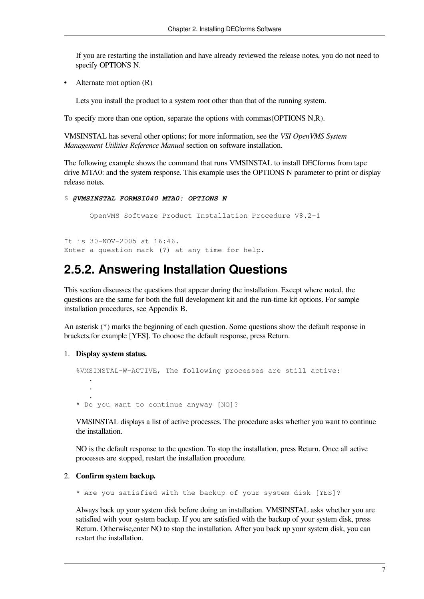If you are restarting the installation and have already reviewed the release notes, you do not need to specify OPTIONS N.

• Alternate root option (R)

Lets you install the product to a system root other than that of the running system.

To specify more than one option, separate the options with commas(OPTIONS N,R).

VMSINSTAL has several other options; for more information, see the *VSI OpenVMS System Management Utilities Reference Manual* section on software installation.

The following example shows the command that runs VMSINSTAL to install DECforms from tape drive MTA0: and the system response. This example uses the OPTIONS N parameter to print or display release notes.

```
$ @VMSINSTAL FORMSI040 MTA0: OPTIONS N
```
OpenVMS Software Product Installation Procedure V8.2-1

It is 30-NOV-2005 at 16:46. Enter a question mark (?) at any time for help.

### <span id="page-14-0"></span>**2.5.2. Answering Installation Questions**

This section discusses the questions that appear during the installation. Except where noted, the questions are the same for both the full development kit and the run-time kit options. For sample installation procedures, see [Appendix](#page-40-0) B.

An asterisk (\*) marks the beginning of each question. Some questions show the default response in brackets,for example [YES]. To choose the default response, press Return.

### 1. **Display system status.**

```
%VMSINSTAL-W-ACTIVE, The following processes are still active:
 .
 .
 .
* Do you want to continue anyway [NO]?
```
VMSINSTAL displays a list of active processes. The procedure asks whether you want to continue the installation.

NO is the default response to the question. To stop the installation, press Return. Once all active processes are stopped, restart the installation procedure.

#### 2. **Confirm system backup.**

\* Are you satisfied with the backup of your system disk [YES]?

Always back up your system disk before doing an installation. VMSINSTAL asks whether you are satisfied with your system backup. If you are satisfied with the backup of your system disk, press Return. Otherwise,enter NO to stop the installation. After you back up your system disk, you can restart the installation.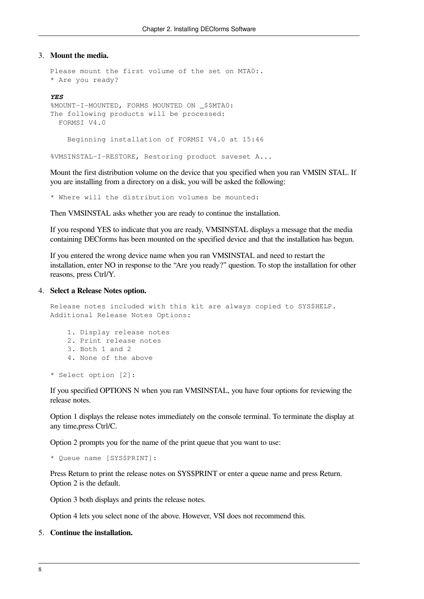#### 3. **Mount the media.**

```
Please mount the first volume of the set on MTA0:.
* Are you ready?
```
#### *YES*

```
%MOUNT-I-MOUNTED, FORMS MOUNTED ON _$$MTA0: 
The following products will be processed:
  FORMSI V4.0
     Beginning installation of FORMSI V4.0 at 15:46
```
%VMSINSTAL-I-RESTORE, Restoring product saveset A...

Mount the first distribution volume on the device that you specified when you ran VMSIN STAL. If you are installing from a directory on a disk, you will be asked the following:

\* Where will the distribution volumes be mounted:

Then VMSINSTAL asks whether you are ready to continue the installation.

If you respond YES to indicate that you are ready, VMSINSTAL displays a message that the media containing DECforms has been mounted on the specified device and that the installation has begun.

If you entered the wrong device name when you ran VMSINSTAL and need to restart the installation, enter NO in response to the "Are you ready?" question. To stop the installation for other reasons, press Ctrl/Y.

#### 4. **Select a Release Notes option.**

```
Release notes included with this kit are always copied to SYS$HELP.
Additional Release Notes Options:
```

```
 1. Display release notes
 2. Print release notes
 3. Both 1 and 2
 4. None of the above
```
\* Select option [2]:

If you specified OPTIONS N when you ran VMSINSTAL, you have four options for reviewing the release notes.

Option 1 displays the release notes immediately on the console terminal. To terminate the display at any time,press Ctrl/C.

Option 2 prompts you for the name of the print queue that you want to use:

```
* Queue name [SYS$PRINT]:
```
Press Return to print the release notes on SYS\$PRINT or enter a queue name and press Return. Option 2 is the default.

Option 3 both displays and prints the release notes.

Option 4 lets you select none of the above. However, VSI does not recommend this.

### 5. **Continue the installation.**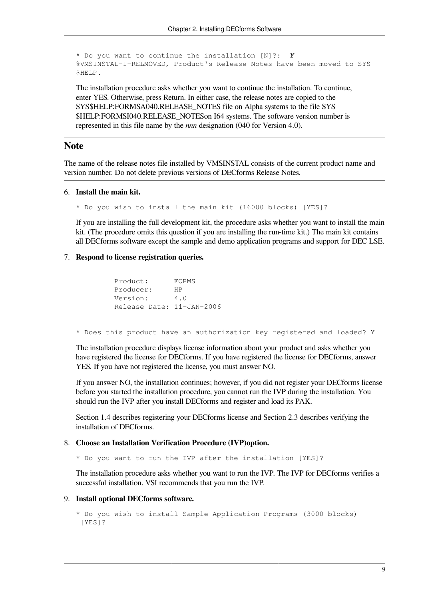```
* Do you want to continue the installation [N]?: Y
%VMSINSTAL-I-RELMOVED, Product's Release Notes have been moved to SYS
$HELP.
```
The installation procedure asks whether you want to continue the installation. To continue, enter YES. Otherwise, press Return. In either case, the release notes are copied to the SYS\$HELP:FORMSA040.RELEASE\_NOTES file on Alpha systems to the file SYS \$HELP:FORMSI040.RELEASE\_NOTESon I64 systems. The software version number is represented in this file name by the *nnn* designation (040 for Version 4.0).

### **Note**

The name of the release notes file installed by VMSINSTAL consists of the current product name and version number. Do not delete previous versions of DECforms Release Notes.

### 6. **Install the main kit.**

\* Do you wish to install the main kit (16000 blocks) [YES]?

If you are installing the full development kit, the procedure asks whether you want to install the main kit. (The procedure omits this question if you are installing the run-time kit.) The main kit contains all DECforms software except the sample and demo application programs and support for DEC LSE.

#### 7. **Respond to license registration queries.**

```
 Product: FORMS
 Producer: HP
 Version: 4.0
 Release Date: 11-JAN-2006
```
\* Does this product have an authorization key registered and loaded? Y

The installation procedure displays license information about your product and asks whether you have registered the license for DECforms. If you have registered the license for DECforms, answer YES. If you have not registered the license, you must answer NO.

If you answer NO, the installation continues; however, if you did not register your DECforms license before you started the installation procedure, you cannot run the IVP during the installation. You should run the IVP after you install DECforms and register and load its PAK.

[Section](#page-9-1) 1.4 describes registering your DECforms license and [Section](#page-12-3) 2.3 describes verifying the installation of DECforms.

#### 8. **Choose an Installation Verification Procedure (IVP)option.**

\* Do you want to run the IVP after the installation [YES]?

The installation procedure asks whether you want to run the IVP. The IVP for DECforms verifies a successful installation. VSI recommends that you run the IVP.

#### 9. **Install optional DECforms software.**

```
* Do you wish to install Sample Application Programs (3000 blocks)
 [YES]?
```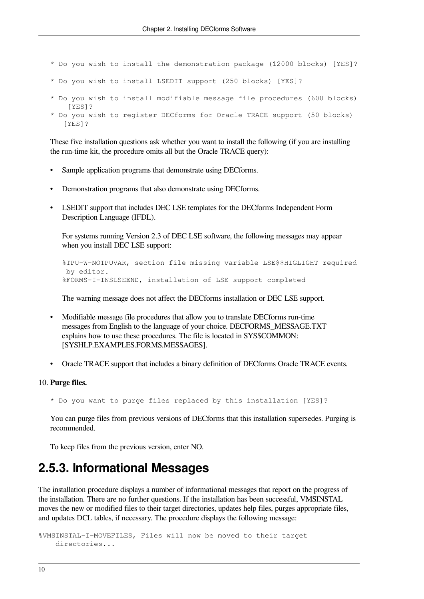- \* Do you wish to install the demonstration package (12000 blocks) [YES]?
- \* Do you wish to install LSEDIT support (250 blocks) [YES]?
- \* Do you wish to install modifiable message file procedures (600 blocks) [YES]? \* Do you wish to register DECforms for Oracle TRACE support (50 blocks) [YES]?

These five installation questions ask whether you want to install the following (if you are installing the run-time kit, the procedure omits all but the Oracle TRACE query):

- Sample application programs that demonstrate using DECforms.
- Demonstration programs that also demonstrate using DECforms.
- LSEDIT support that includes DEC LSE templates for the DECforms Independent Form Description Language (IFDL).

For systems running Version 2.3 of DEC LSE software, the following messages may appear when you install DEC LSE support:

```
%TPU-W-NOTPUVAR, section file missing variable LSE$$HIGLIGHT required
 by editor.
%FORMS-I-INSLSEEND, installation of LSE support completed
```
The warning message does not affect the DECforms installation or DEC LSE support.

- Modifiable message file procedures that allow you to translate DECforms run-time messages from English to the language of your choice. DECFORMS\_MESSAGE.TXT explains how to use these procedures. The file is located in SYS\$COMMON: [SYSHLP.EXAMPLES.FORMS.MESSAGES].
- Oracle TRACE support that includes a binary definition of DECforms Oracle TRACE events.

#### 10. **Purge files.**

\* Do you want to purge files replaced by this installation [YES]?

You can purge files from previous versions of DECforms that this installation supersedes. Purging is recommended.

To keep files from the previous version, enter NO.

### <span id="page-17-0"></span>**2.5.3. Informational Messages**

The installation procedure displays a number of informational messages that report on the progress of the installation. There are no further questions. If the installation has been successful, VMSINSTAL moves the new or modified files to their target directories, updates help files, purges appropriate files, and updates DCL tables, if necessary. The procedure displays the following message:

%VMSINSTAL-I-MOVEFILES, Files will now be moved to their target directories...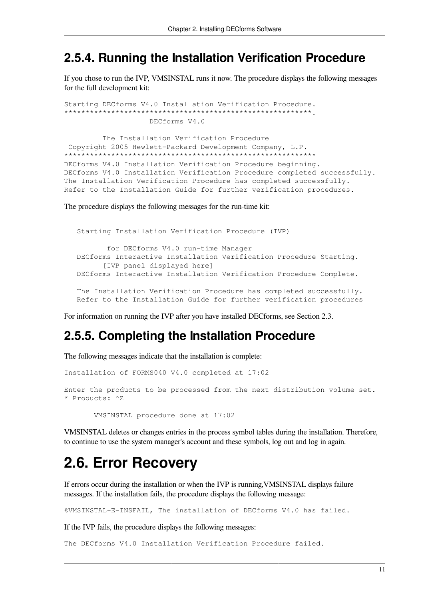### <span id="page-18-0"></span>2.5.4. Running the Installation Verification Procedure

If you chose to run the IVP, VMSINSTAL runs it now. The procedure displays the following messages for the full development kit:

```
Starting DECforms V4.0 Installation Verification Procedure.
DECforms V4.0
```
The Installation Verification Procedure Copyright 2005 Hewlett-Packard Development Company, L.P. \*\*\*\*\*\*\*\*\*\*\*\*\*\*\*\*\*\*\*\*\*\*\*\*\*\*\*\*\*\*\*\* DECforms V4.0 Installation Verification Procedure beginning. DECforms V4.0 Installation Verification Procedure completed successfully. The Installation Verification Procedure has completed successfully. Refer to the Installation Guide for further verification procedures.

The procedure displays the following messages for the run-time kit:

```
Starting Installation Verification Procedure (IVP)
       for DECforms V4.0 run-time Manager
DECforms Interactive Installation Verification Procedure Starting.
      [IVP panel displayed here]
DECforms Interactive Installation Verification Procedure Complete.
The Installation Verification Procedure has completed successfully.
Refer to the Installation Guide for further verification procedures
```
<span id="page-18-1"></span>For information on running the IVP after you have installed DECforms, see Section 2.3.

### 2.5.5. Completing the Installation Procedure

The following messages indicate that the installation is complete:

Installation of FORMS040 V4.0 completed at 17:02

Enter the products to be processed from the next distribution volume set. \* Products: ^Z

VMSINSTAL procedure done at 17:02

VMSINSTAL deletes or changes entries in the process symbol tables during the installation. Therefore, to continue to use the system manager's account and these symbols, log out and log in again.

## <span id="page-18-2"></span>**2.6. Error Recovery**

If errors occur during the installation or when the IVP is running, VMSINSTAL displays failure messages. If the installation fails, the procedure displays the following message:

%VMSINSTAL-E-INSFAIL, The installation of DECforms V4.0 has failed.

If the IVP fails, the procedure displays the following messages:

The DECforms V4.0 Installation Verification Procedure failed.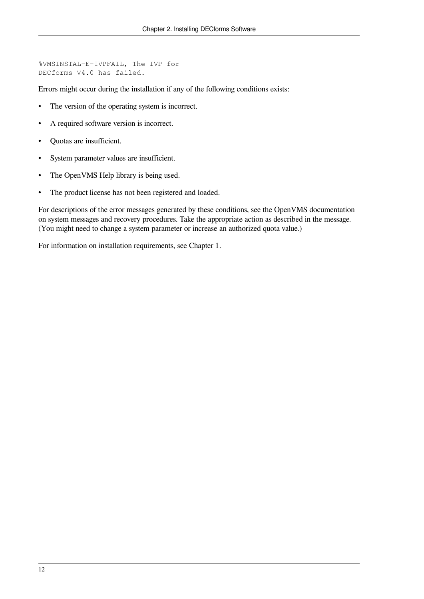```
%VMSINSTAL-E-IVPFAIL, The IVP for 
DECforms V4.0 has failed.
```
Errors might occur during the installation if any of the following conditions exists:

- The version of the operating system is incorrect.
- A required software version is incorrect.
- Quotas are insufficient.
- System parameter values are insufficient.
- The OpenVMS Help library is being used.
- The product license has not been registered and loaded.

For descriptions of the error messages generated by these conditions, see the OpenVMS documentation on system messages and recovery procedures. Take the appropriate action as described in the message. (You might need to change a system parameter or increase an authorized quota value.)

For information on installation requirements, see [Chapter](#page-8-0) 1.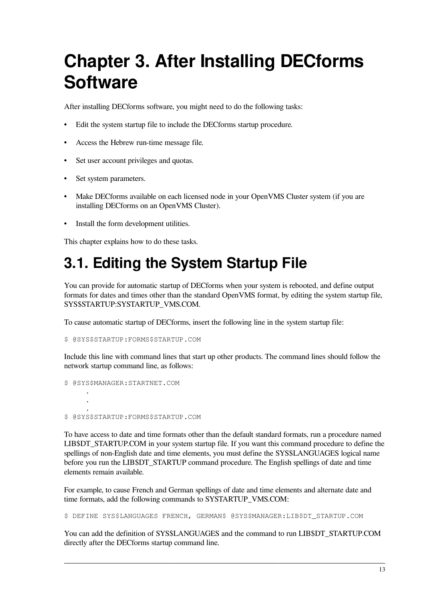# <span id="page-20-0"></span>**Chapter 3. After Installing DECforms Software**

After installing DECforms software, you might need to do the following tasks:

- Edit the system startup file to include the DECforms startup procedure.
- Access the Hebrew run-time message file.
- Set user account privileges and quotas.
- Set system parameters.
- Make DECforms available on each licensed node in your OpenVMS Cluster system (if you are installing DECforms on an OpenVMS Cluster).
- Install the form development utilities.

This chapter explains how to do these tasks.

## <span id="page-20-1"></span>**3.1. Editing the System Startup File**

You can provide for automatic startup of DECforms when your system is rebooted, and define output formats for dates and times other than the standard OpenVMS format, by editing the system startup file, SYS\$STARTUP:SYSTARTUP\_VMS.COM.

To cause automatic startup of DECforms, insert the following line in the system startup file:

\$ @SYS\$STARTUP:FORMS\$STARTUP.COM

Include this line with command lines that start up other products. The command lines should follow the network startup command line, as follows:

\$ @SYS\$MANAGER:STARTNET.COM . . . \$ @SYS\$STARTUP:FORMS\$STARTUP.COM

To have access to date and time formats other than the default standard formats, run a procedure named LIB\$DT\_STARTUP.COM in your system startup file. If you want this command procedure to define the spellings of non-English date and time elements, you must define the SYS\$LANGUAGES logical name before you run the LIB\$DT\_STARTUP command procedure. The English spellings of date and time elements remain available.

For example, to cause French and German spellings of date and time elements and alternate date and time formats, add the following commands to SYSTARTUP\_VMS.COM:

\$ DEFINE SYS\$LANGUAGES FRENCH, GERMAN\$ @SYS\$MANAGER:LIB\$DT\_STARTUP.COM

You can add the definition of SYS\$LANGUAGES and the command to run LIB\$DT\_STARTUP.COM directly after the DECforms startup command line.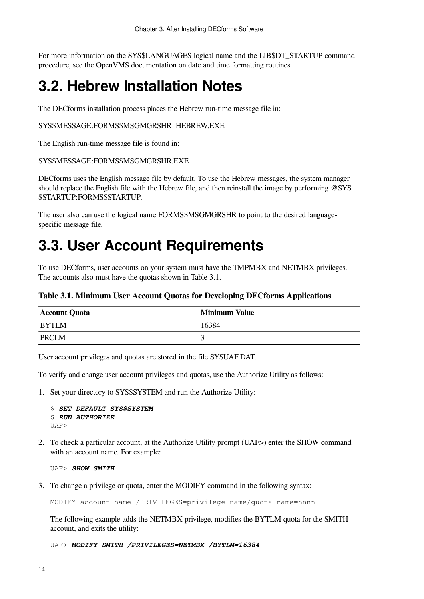For more information on the SYS\$LANGUAGES logical name and the LIB\$DT\_STARTUP command procedure, see the OpenVMS documentation on date and time formatting routines.

## <span id="page-21-0"></span>**3.2. Hebrew Installation Notes**

The DECforms installation process places the Hebrew run-time message file in:

### SYS\$MESSAGE:FORMS\$MSGMGRSHR\_HEBREW.EXE

The English run-time message file is found in:

#### SYS\$MESSAGE:FORMS\$MSGMGRSHR.EXE

DECforms uses the English message file by default. To use the Hebrew messages, the system manager should replace the English file with the Hebrew file, and then reinstall the image by performing @SYS \$STARTUP:FORMS\$STARTUP.

The user also can use the logical name FORMS\$MSGMGRSHR to point to the desired languagespecific message file.

## <span id="page-21-1"></span>**3.3. User Account Requirements**

To use DECforms, user accounts on your system must have the TMPMBX and NETMBX privileges. The accounts also must have the quotas shown in [Table](#page-21-2) 3.1.

### <span id="page-21-2"></span>**Table 3.1. Minimum User Account Quotas for Developing DECforms Applications**

| <b>Account Quota</b> | <b>Minimum Value</b> |
|----------------------|----------------------|
| <b>BYTLM</b>         | 16384                |
| PRCLM                |                      |

User account privileges and quotas are stored in the file SYSUAF.DAT.

To verify and change user account privileges and quotas, use the Authorize Utility as follows:

1. Set your directory to SYS\$SYSTEM and run the Authorize Utility:

```
$ SET DEFAULT SYS$SYSTEM
$ RUN AUTHORIZE
IJAF
```
2. To check a particular account, at the Authorize Utility prompt (UAF>) enter the SHOW command with an account name. For example:

UAF> *SHOW SMITH*

3. To change a privilege or quota, enter the MODIFY command in the following syntax:

MODIFY account-name /PRIVILEGES=privilege-name/quota-name=nnnn

The following example adds the NETMBX privilege, modifies the BYTLM quota for the SMITH account, and exits the utility:

UAF> *MODIFY SMITH /PRIVILEGES=NETMBX /BYTLM=16384*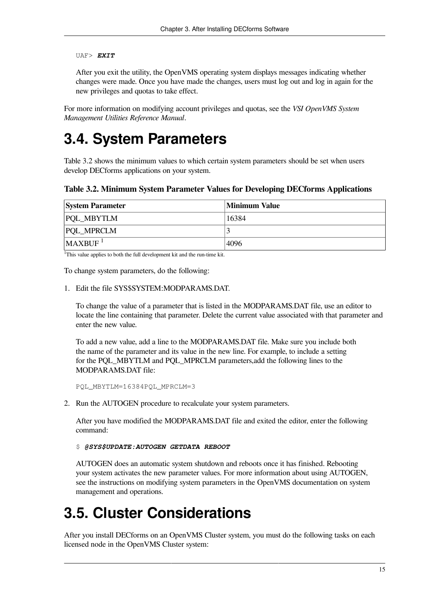### UAF> *EXIT*

After you exit the utility, the OpenVMS operating system displays messages indicating whether changes were made. Once you have made the changes, users must log out and log in again for the new privileges and quotas to take effect.

For more information on modifying account privileges and quotas, see the *VSI OpenVMS System Management Utilities Reference Manual*.

## <span id="page-22-0"></span>**3.4. System Parameters**

[Table](#page-22-2) 3.2 shows the minimum values to which certain system parameters should be set when users develop DECforms applications on your system.

<span id="page-22-2"></span>**Table 3.2. Minimum System Parameter Values for Developing DECforms Applications**

| <b>System Parameter</b> | Minimum Value |
|-------------------------|---------------|
| <b>PQL_MBYTLM</b>       | 16384         |
| <b>PQL_MPRCLM</b>       |               |
| MAXBUF <sup>1</sup>     | 4096          |

<sup>1</sup>This value applies to both the full development kit and the run-time kit.

To change system parameters, do the following:

1. Edit the file SYS\$SYSTEM: MODPAR AMS DAT.

To change the value of a parameter that is listed in the MODPARAMS.DAT file, use an editor to locate the line containing that parameter. Delete the current value associated with that parameter and enter the new value.

To add a new value, add a line to the MODPARAMS.DAT file. Make sure you include both the name of the parameter and its value in the new line. For example, to include a setting for the PQL\_MBYTLM and PQL\_MPRCLM parameters,add the following lines to the MODPARAMS.DAT file:

PQL\_MBYTLM=16384PQL\_MPRCLM=3

2. Run the AUTOGEN procedure to recalculate your system parameters.

After you have modified the MODPARAMS.DAT file and exited the editor, enter the following command:

\$ *@SYS\$UPDATE:AUTOGEN GETDATA REBOOT*

AUTOGEN does an automatic system shutdown and reboots once it has finished. Rebooting your system activates the new parameter values. For more information about using AUTOGEN, see the instructions on modifying system parameters in the OpenVMS documentation on system management and operations.

## <span id="page-22-1"></span>**3.5. Cluster Considerations**

After you install DECforms on an OpenVMS Cluster system, you must do the following tasks on each licensed node in the OpenVMS Cluster system: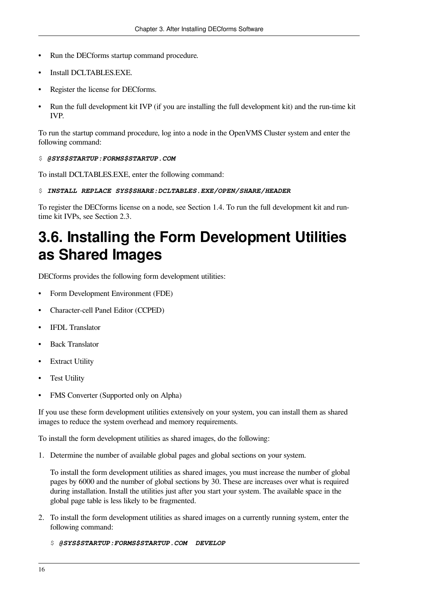- Run the DECforms startup command procedure.
- Install DCLTABLES.EXE.
- Register the license for DECforms.
- Run the full development kit IVP (if you are installing the full development kit) and the run-time kit IVP.

To run the startup command procedure, log into a node in the OpenVMS Cluster system and enter the following command:

### \$ *@SYS\$STARTUP:FORMS\$STARTUP.COM*

To install DCLTABLES.EXE, enter the following command:

### \$ *INSTALL REPLACE SYS\$SHARE:DCLTABLES.EXE/OPEN/SHARE/HEADER*

To register the DECforms license on a node, see [Section](#page-9-1) 1.4. To run the full development kit and runtime kit IVPs, see [Section](#page-12-3) 2.3.

## <span id="page-23-0"></span>**3.6. Installing the Form Development Utilities as Shared Images**

DECforms provides the following form development utilities:

- Form Development Environment (FDE)
- Character-cell Panel Editor (CCPED)
- IFDL Translator
- Back Translator
- **Extract Utility**
- **Test Utility**
- FMS Converter (Supported only on Alpha)

If you use these form development utilities extensively on your system, you can install them as shared images to reduce the system overhead and memory requirements.

To install the form development utilities as shared images, do the following:

1. Determine the number of available global pages and global sections on your system.

To install the form development utilities as shared images, you must increase the number of global pages by 6000 and the number of global sections by 30. These are increases over what is required during installation. Install the utilities just after you start your system. The available space in the global page table is less likely to be fragmented.

- 2. To install the form development utilities as shared images on a currently running system, enter the following command:
	- \$ *@SYS\$STARTUP:FORMS\$STARTUP.COM DEVELOP*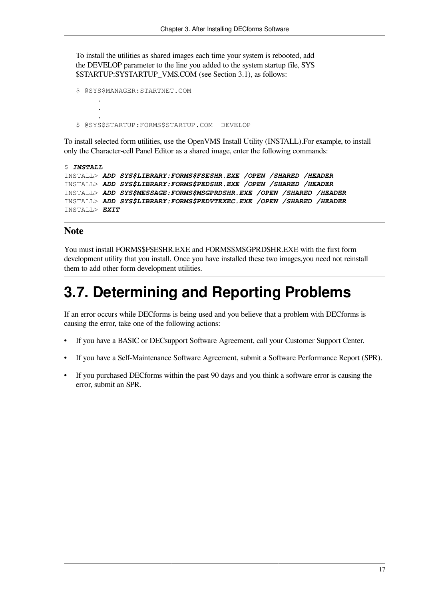To install the utilities as shared images each time your system is rebooted, add the DEVELOP parameter to the line you added to the system startup file, SYS \$STARTUP:SYSTARTUP\_VMS.COM (see [Section](#page-20-1) 3.1), as follows:

```
$ @SYS$MANAGER:STARTNET.COM
 .
 .
 .
$ @SYS$STARTUP:FORMS$STARTUP.COM DEVELOP
```
To install selected form utilities, use the OpenVMS Install Utility (INSTALL).For example, to install only the Character-cell Panel Editor as a shared image, enter the following commands:

```
$ INSTALL
INSTALL> ADD SYS$LIBRARY:FORMS$FSESHR.EXE /OPEN /SHARED /HEADER
INSTALL> ADD SYS$LIBRARY:FORMS$PEDSHR.EXE /OPEN /SHARED /HEADER
INSTALL> ADD SYS$MESSAGE:FORMS$MSGPRDSHR.EXE /OPEN /SHARED /HEADER 
INSTALL> ADD SYS$LIBRARY:FORMS$PEDVTEXEC.EXE /OPEN /SHARED /HEADER
INSTALL> EXIT
```
### **Note**

You must install FORMS\$FSESHR.EXE and FORMS\$MSGPRDSHR.EXE with the first form development utility that you install. Once you have installed these two images,you need not reinstall them to add other form development utilities.

## <span id="page-24-0"></span>**3.7. Determining and Reporting Problems**

If an error occurs while DECforms is being used and you believe that a problem with DECforms is causing the error, take one of the following actions:

- If you have a BASIC or DECsupport Software Agreement, call your Customer Support Center.
- If you have a Self-Maintenance Software Agreement, submit a Software Performance Report (SPR).
- If you purchased DECforms within the past 90 days and you think a software error is causing the error, submit an SPR.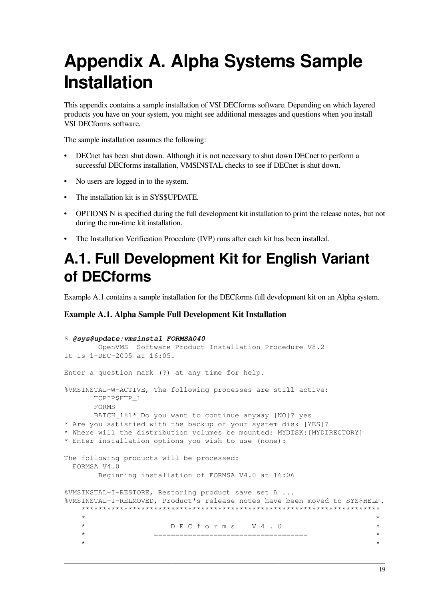# <span id="page-26-0"></span>**Appendix A. Alpha Systems Sample Installation**

This appendix contains a sample installation of VSI DECforms software. Depending on which layered products you have on your system, you might see additional messages and questions when you install VSI DECforms software.

The sample installation assumes the following:

- DECnet has been shut down. Although it is not necessary to shut down DECnet to perform a successful DECforms installation, VMSINSTAL checks to see if DECnet is shut down.
- No users are logged in to the system.
- The installation kit is in SYS\$UPDATE.
- OPTIONS N is specified during the full development kit installation to print the release notes, but not during the run-time kit installation.
- The Installation Verification Procedure (IVP) runs after each kit has been installed.

## <span id="page-26-1"></span>**A.1. Full Development Kit for English Variant of DECforms**

[Example](#page-26-2) A.1 contains a sample installation for the DECforms full development kit on an Alpha system.

### <span id="page-26-2"></span>**Example A.1. Alpha Sample Full Development Kit Installation**

```
$ @sys$update:vmsinstal FORMSA040
       OpenVMS Software Product Installation Procedure V8.2
It is 1-DEC-2005 at 16:05.
Enter a question mark (?) at any time for help.
%VMSINSTAL-W-ACTIVE, The following processes are still active:
      TCPIP$FTP_1
      FORMS
      BATCH_181* Do you want to continue anyway [NO]? yes
* Are you satisfied with the backup of your system disk [YES]?
* Where will the distribution volumes be mounted: MYDISK:[MYDIRECTORY]
* Enter installation options you wish to use (none):
The following products will be processed:
  FORMSA V4.0
       Beginning installation of FORMSA V4.0 at 16:06
%VMSINSTAL-I-RESTORE, Restoring product save set A ...
%VMSINSTAL-I-RELMOVED, Product's release notes have been moved to SYS$HELP.
    **********************************************************************
\star *
    * D E C f o r m s V 4 . 0 *
    * ==================================== *
\star *
```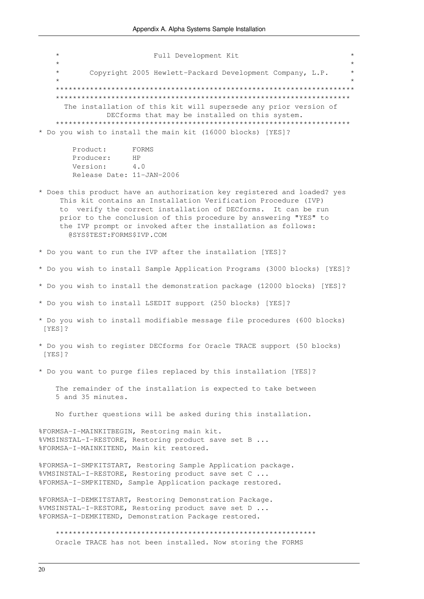$\star$ Full Development Kit  $\star$ Copyright 2005 Hewlett-Packard Development Company, L.P. The installation of this kit will supersede any prior version of DECforms that may be installed on this system. \*\*\*\*\*\*\*\*\*\*\*\*\*\* \* \* \* \* \* \* \* \* Do you wish to install the main kit (16000 blocks) [YES]? Product: FORMS Producer: HP Version:  $4.0$ Release Date: 11-JAN-2006 \* Does this product have an authorization key registered and loaded? yes This kit contains an Installation Verification Procedure (IVP) to verify the correct installation of DECforms. It can be run prior to the conclusion of this procedure by answering "YES" to the IVP prompt or invoked after the installation as follows: @SYS\$TEST:FORMS\$IVP.COM \* Do you want to run the IVP after the installation [YES]? \* Do you wish to install Sample Application Programs (3000 blocks) [YES]? \* Do you wish to install the demonstration package (12000 blocks) [YES]? \* Do you wish to install LSEDIT support (250 blocks) [YES]? \* Do you wish to install modifiable message file procedures (600 blocks) [YES] ? \* Do you wish to register DECforms for Oracle TRACE support (50 blocks) [YES]? \* Do you want to purge files replaced by this installation [YES]? The remainder of the installation is expected to take between 5 and 35 minutes. No further questions will be asked during this installation. %FORMSA-I-MAINKITBEGIN, Restoring main kit. %VMSINSTAL-I-RESTORE, Restoring product save set B ... %FORMSA-I-MAINKITEND, Main kit restored. %FORMSA-I-SMPKITSTART, Restoring Sample Application package. %VMSINSTAL-I-RESTORE, Restoring product save set C ... %FORMSA-I-SMPKITEND, Sample Application package restored. %FORMSA-I-DEMKITSTART, Restoring Demonstration Package. %VMSINSTAL-I-RESTORE, Restoring product save set D ... %FORMSA-I-DEMKITEND, Demonstration Package restored. Oracle TRACE has not been installed. Now storing the FORMS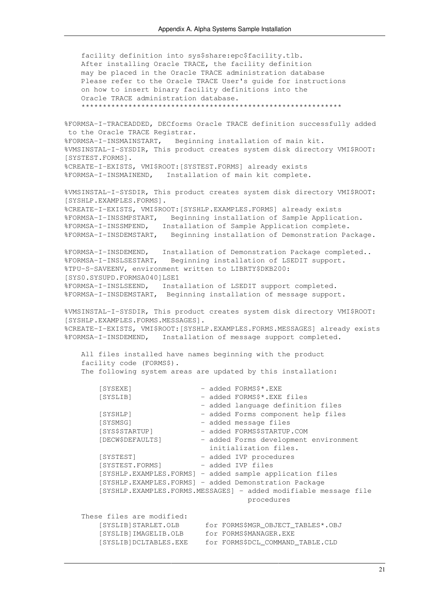facility definition into sys\$share:epc\$facility.tlb. After installing Oracle TRACE, the facility definition may be placed in the Oracle TRACE administration database Please refer to the Oracle TRACE User's guide for instructions on how to insert binary facility definitions into the Oracle TRACE administration database. \*\*\*\*\*\*\*\*\*\*\*\*\*\*\*\*\*\*\*\*\*\*\*\*\*\*\*\*\*\*\*\*\*\*\*\*\*\*\*\*\*\*\*\*\*\*\*\*\*\*\*\*\*\*\*\*\*\*\*\*\* %FORMSA-I-TRACEADDED, DECforms Oracle TRACE definition successfully added to the Oracle TRACE Registrar. %FORMSA-I-INSMAINSTART, Beginning installation of main kit. %VMSINSTAL-I-SYSDIR, This product creates system disk directory VMI\$ROOT: [SYSTEST.FORMS]. %CREATE-I-EXISTS, VMI\$ROOT:[SYSTEST.FORMS] already exists %FORMSA-I-INSMAINEND, Installation of main kit complete. %VMSINSTAL-I-SYSDIR, This product creates system disk directory VMI\$ROOT: [SYSHLP.EXAMPLES.FORMS]. %CREATE-I-EXISTS, VMI\$ROOT:[SYSHLP.EXAMPLES.FORMS] already exists %FORMSA-I-INSSMPSTART, Beginning installation of Sample Application. %FORMSA-I-INSSMPEND, Installation of Sample Application complete. %FORMSA-I-INSDEMSTART, Beginning installation of Demonstration Package. %FORMSA-I-INSDEMEND, Installation of Demonstration Package completed.. %FORMSA-I-INSLSESTART, Beginning installation of LSEDIT support. %TPU-S-SAVEENV, environment written to LIBRTY\$DKB200: [SYS0.SYSUPD.FORMSA040]LSE1 %FORMSA-I-INSLSEEND, Installation of LSEDIT support completed. %FORMSA-I-INSDEMSTART, Beginning installation of message support. %VMSINSTAL-I-SYSDIR, This product creates system disk directory VMI\$ROOT: [SYSHLP.EXAMPLES.FORMS.MESSAGES]. %CREATE-I-EXISTS, VMI\$ROOT:[SYSHLP.EXAMPLES.FORMS.MESSAGES] already exists %FORMSA-I-INSDEMEND, Installation of message support completed. All files installed have names beginning with the product facility code (FORMS\$). The following system areas are updated by this installation: [SYSEXE] - added FORMS\$\*.EXE [SYSLIB] - added FORMS\$\*.EXE files - added language definition files [SYSHLP] - added Forms component help files [SYSMSG] - added message files [SYS\$STARTUP] - added FORMS\$STARTUP.COM [DECW\$DEFAULTS] - added Forms development environment initialization files. [SYSTEST] - added IVP procedures .<br>[SYSTEST.FORMS] - added IVP files [SYSHLP.EXAMPLES.FORMS] - added sample application files [SYSHLP.EXAMPLES.FORMS] - added Demonstration Package [SYSHLP.EXAMPLES.FORMS.MESSAGES] - added modifiable message file procedures These files are modified: [SYSLIB]STARLET.OLB for FORMS\$MGR\_OBJECT\_TABLES\*.OBJ [SYSLIB]IMAGELIB.OLB for FORMS\$MANAGER.EXE [SYSLIB]DCLTABLES.EXE for FORMS\$DCL\_COMMAND\_TABLE.CLD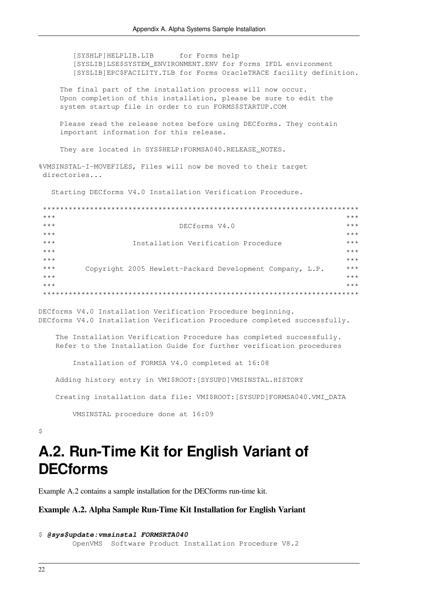[SYSHLP]HELPLIB.LIB for Forms help [SYSLIB]LSE\$SYSTEM\_ENVIRONMENT.ENV for Forms IFDL environment [SYSLIB]EPC\$FACILITY. TLB for Forms OracleTRACE facility definition.

The final part of the installation process will now occur. Upon completion of this installation, please be sure to edit the system startup file in order to run FORMS\$STARTUP.COM

Please read the release notes before using DECforms. They contain important information for this release.

They are located in SYS\$HELP: FORMSA040. RELEASE\_NOTES.

%VMSINSTAL-I-MOVEFILES, Files will now be moved to their target directories...

Starting DECforms V4.0 Installation Verification Procedure.

| $***$ |                                                          | $***$ |
|-------|----------------------------------------------------------|-------|
| $***$ | DECforms V4.0                                            | $***$ |
| $***$ |                                                          | $***$ |
| $***$ | Installation Verification Procedure                      | $***$ |
| $***$ |                                                          | $***$ |
| $***$ |                                                          | $***$ |
| $***$ | Copyright 2005 Hewlett-Packard Development Company, L.P. | $***$ |
| $***$ |                                                          | $***$ |
| $***$ |                                                          | $***$ |
|       |                                                          |       |

DECforms V4.0 Installation Verification Procedure beginning. DECforms V4.0 Installation Verification Procedure completed successfully.

The Installation Verification Procedure has completed successfully. Refer to the Installation Guide for further verification procedures

Installation of FORMSA V4.0 completed at 16:08

Adding history entry in VMI\$ROOT: [SYSUPD] VMSINSTAL.HISTORY

Creating installation data file: VMI\$ROOT: [SYSUPD]FORMSA040.VMI DATA

VMSINSTAL procedure done at 16:09

<span id="page-29-0"></span> $\tilde{S}$ 

## A.2. Run-Time Kit for English Variant of **DECforms**

<span id="page-29-1"></span>Example A.2 contains a sample installation for the DEC forms run-time kit.

#### Example A.2. Alpha Sample Run-Time Kit Installation for English Variant

```
$ @sys$update: vmsinstal FORMSRTA040
        OpenVMS Software Product Installation Procedure V8.2
```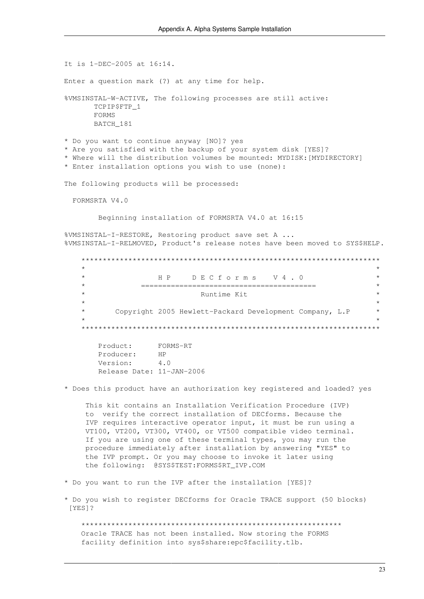It is 1-DEC-2005 at 16:14. Enter a question mark (?) at any time for help. %VMSINSTAL-W-ACTIVE, The following processes are still active: TCPIPSFTP 1 FORMS BATCH 181 \* Do you want to continue anyway [NO]? yes \* Are you satisfied with the backup of your system disk [YES]? \* Where will the distribution volumes be mounted: MYDISK: [MYDIRECTORY] \* Enter installation options you wish to use (none): The following products will be processed: FORMSRTA V4.0 Beginning installation of FORMSRTA V4.0 at 16:15 %VMSINSTAL-I-RESTORE, Restoring product save set A ... %VMSINSTAL-I-RELMOVED, Product's release notes have been moved to SYS\$HELP.  $\star$ HP DECforms V4.0  $\star$  $\star$ Runtime Kit Copyright 2005 Hewlett-Packard Development Company, L.P FORMS-RT Product: Producer:  $HP$ Version:  $\Delta$  0 Release Date: 11-JAN-2006 \* Does this product have an authorization key registered and loaded? yes This kit contains an Installation Verification Procedure (IVP) to verify the correct installation of DECforms. Because the IVP requires interactive operator input, it must be run using a VT100, VT200, VT300, VT400, or VT500 compatible video terminal. If you are using one of these terminal types, you may run the procedure immediately after installation by answering "YES" to the IVP prompt. Or you may choose to invoke it later using the following: @SYS\$TEST:FORMS\$RT IVP.COM

- \* Do you want to run the IVP after the installation [YES]?
- \* Do you wish to register DECforms for Oracle TRACE support (50 blocks)  $[YES]$ ?

Oracle TRACE has not been installed. Now storing the FORMS facility definition into sys\$share:epc\$facility.tlb.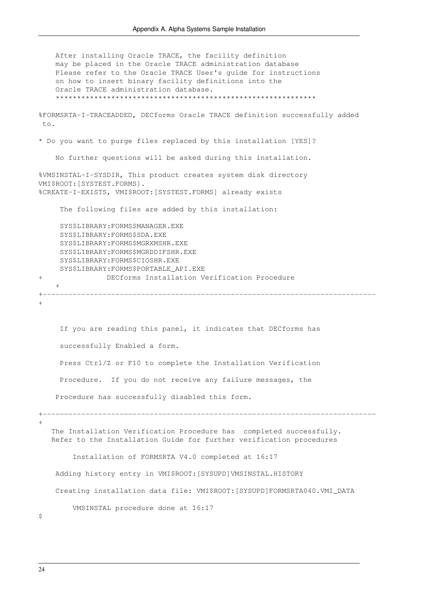After installing Oracle TRACE, the facility definition may be placed in the Oracle TRACE administration database Please refer to the Oracle TRACE User's guide for instructions on how to insert binary facility definitions into the Oracle TRACE administration database. \*\*\*\*\*\*\*\*\*\*\*\*\*\*\*\*\*\*\*\*\*\*\*\*\*\*\*\*\*\*\*\*\*\*\*\*\*\*\*\*\*\*\*\*\*\*\*\*\*\*\*\*\*\*\*\*\*\*\*\*\* %FORMSRTA-I-TRACEADDED, DECforms Oracle TRACE definition successfully added to. \* Do you want to purge files replaced by this installation [YES]? No further questions will be asked during this installation. %VMSINSTAL-I-SYSDIR, This product creates system disk directory VMI\$ROOT:[SYSTEST.FORMS]. %CREATE-I-EXISTS, VMI\$ROOT:[SYSTEST.FORMS] already exists The following files are added by this installation: SYS\$LIBRARY:FORMS\$MANAGER.EXE SYS\$LIBRARY:FORMS\$SDA.EXE SYS\$LIBRARY:FORMS\$MGRXMSHR.EXE SYS\$LIBRARY:FORMS\$MGRDDIFSHR.EXE SYS\$LIBRARY:FORMS\$CIOSHR.EXE SYS\$LIBRARY:FORMS\$PORTABLE\_API.EXE + DECforms Installation Verification Procedure  $+$ +------------------------------------------------------------------------------ + If you are reading this panel, it indicates that DECforms has successfully Enabled a form. Press Ctrl/Z or F10 to complete the Installation Verification Procedure. If you do not receive any failure messages, the Procedure has successfully disabled this form. +------------------------------------------------------------------------------  $\pm$ 

 The Installation Verification Procedure has completed successfully. Refer to the Installation Guide for further verification procedures

Installation of FORMSRTA V4.0 completed at 16:17

Adding history entry in VMI\$ROOT:[SYSUPD]VMSINSTAL.HISTORY

Creating installation data file: VMI\$ROOT:[SYSUPD]FORMSRTA040.VMI\_DATA

VMSINSTAL procedure done at 16:17

 $\mathsf{S}$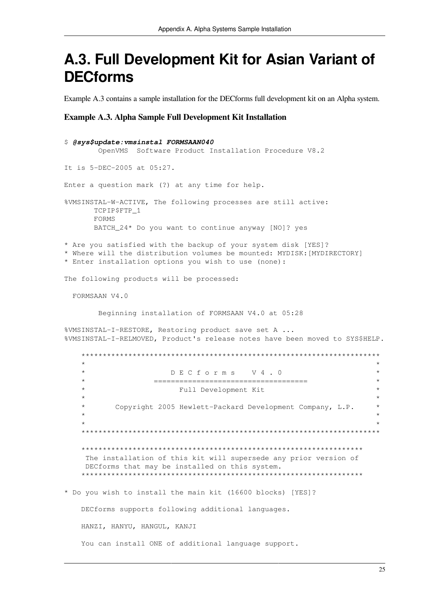## <span id="page-32-0"></span>A.3. Full Development Kit for Asian Variant of **DECforms**

<span id="page-32-1"></span>Example A.3 contains a sample installation for the DECforms full development kit on an Alpha system.

#### **Example A.3. Alpha Sample Full Development Kit Installation**

```
$ @sys$update: vmsinstal FORMSAAN040
      OpenVMS Software Product Installation Procedure V8.2
It is 5-DEC-2005 at 05:27.
Enter a question mark (?) at any time for help.
%VMSINSTAL-W-ACTIVE, The following processes are still active:
     TCPIP$FTP 1
     FORMS
     BATCH_24* Do you want to continue anyway [NO]? yes
* Are you satisfied with the backup of your system disk [YES]?
* Where will the distribution volumes be mounted: MYDISK: [MYDIRECTORY]
* Enter installation options you wish to use (none):
The following products will be processed:
 FORMSAAN V4.0
      Beginning installation of FORMSAAN V4.0 at 05:28
%VMSINSTAL-I-RESTORE, Restoring product save set A ...
%VMSINSTAL-I-RELMOVED, Product's release notes have been moved to SYS$HELP.
   \star\star\starDECforms V4.0
   \ddot{\phantom{0}}\downarrow======================================
                      Full Development Kit
         Copyright 2005 Hewlett-Packard Development Company, L.P.
   The installation of this kit will supersede any prior version of
    DECforms that may be installed on this system.
   * Do you wish to install the main kit (16600 blocks) [YES]?
   DECforms supports following additional languages.
   HANZI, HANYU, HANGUL, KANJI
   You can install ONE of additional language support.
```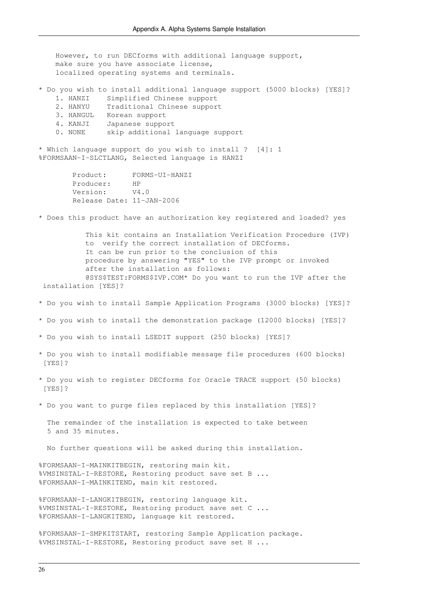However, to run DECforms with additional language support, make sure you have associate license, localized operating systems and terminals.

\* Do you wish to install additional language support (5000 blocks) [YES]?

- 1. HANZI Simplified Chinese support
- 2. HANYU Traditional Chinese support
- 3. HANGUL Korean support
- 4. KANJI Japanese support
- 0. NONE skip additional language support

\* Which language support do you wish to install ? [4]: 1 %FORMSAAN-I-SLCTLANG, Selected language is HANZI

> Product: FORMS-UI-HANZI Producer: HP Version: V4.0 Release Date: 11-JAN-2006

\* Does this product have an authorization key registered and loaded? yes

 This kit contains an Installation Verification Procedure (IVP) to verify the correct installation of DECforms. It can be run prior to the conclusion of this procedure by answering "YES" to the IVP prompt or invoked after the installation as follows: @SYS\$TEST:FORMS\$IVP.COM\* Do you want to run the IVP after the installation [YES]?

- \* Do you wish to install Sample Application Programs (3000 blocks) [YES]?
- \* Do you wish to install the demonstration package (12000 blocks) [YES]?
- \* Do you wish to install LSEDIT support (250 blocks) [YES]?
- \* Do you wish to install modifiable message file procedures (600 blocks) [YES]?
- \* Do you wish to register DECforms for Oracle TRACE support (50 blocks) [YES]?
- \* Do you want to purge files replaced by this installation [YES]?

 The remainder of the installation is expected to take between 5 and 35 minutes.

No further questions will be asked during this installation.

%FORMSAAN-I-MAINKITBEGIN, restoring main kit. %VMSINSTAL-I-RESTORE, Restoring product save set B ... %FORMSAAN-I-MAINKITEND, main kit restored.

%FORMSAAN-I-LANGKITBEGIN, restoring language kit. %VMSINSTAL-I-RESTORE, Restoring product save set C ... %FORMSAAN-I-LANGKITEND, language kit restored.

%FORMSAAN-I-SMPKITSTART, restoring Sample Application package. %VMSINSTAL-I-RESTORE, Restoring product save set H ...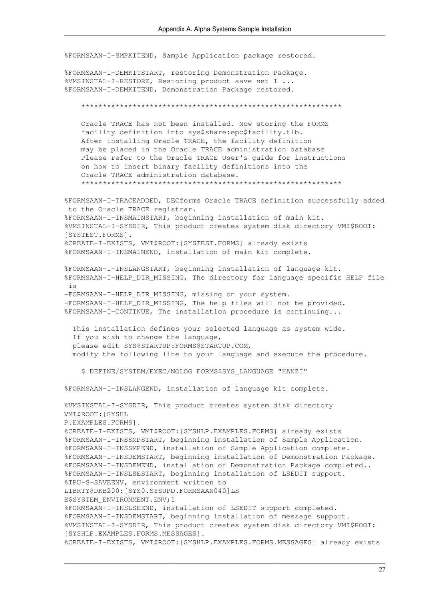%FORMSAAN-I-SMPKITEND, Sample Application package restored.

%FORMSAAN-I-DEMKITSTART, restoring Demonstration Package. %VMSINSTAL-I-RESTORE, Restoring product save set I ... %FORMSAAN-I-DEMKITEND, Demonstration Package restored.

Oracle TRACE has not been installed. Now storing the FORMS facility definition into sys\$share:epc\$facility.tlb. After installing Oracle TRACE, the facility definition may be placed in the Oracle TRACE administration database Please refer to the Oracle TRACE User's quide for instructions on how to insert binary facility definitions into the Oracle TRACE administration database. 

%FORMSAAN-I-TRACEADDED, DECforms Oracle TRACE definition successfully added to the Oracle TRACE registrar. %FORMSAAN-I-INSMAINSTART, beginning installation of main kit. %VMSINSTAL-I-SYSDIR, This product creates system disk directory VMI\$ROOT: [SYSTEST.FORMS]. %CREATE-I-EXISTS, VMI\$ROOT: [SYSTEST.FORMS] already exists %FORMSAAN-I-INSMAINEND, installation of main kit complete.

%FORMSAAN-I-INSLANGSTART, beginning installation of language kit. %FORMSAAN-I-HELP DIR MISSING, The directory for language specific HELP file  $i<sub>s</sub>$ -FORMSAAN-I-HELP\_DIR\_MISSING, missing on your system.

-FORMSAAN-I-HELP DIR MISSING, The help files will not be provided. %FORMSAAN-I-CONTINUE, The installation procedure is continuing...

This installation defines your selected language as system wide. If you wish to change the language, please edit SYS\$STARTUP: FORMS\$STARTUP.COM, modify the following line to your language and execute the procedure.

\$ DEFINE/SYSTEM/EXEC/NOLOG FORMS\$SYS LANGUAGE "HANZI"

%FORMSAAN-I-INSLANGEND, installation of language kit complete.

%VMSINSTAL-I-SYSDIR, This product creates system disk directory VMI\$ROOT: [SYSHL P.EXAMPLES.FORMS]. %CREATE-I-EXISTS, VMI\$ROOT: [SYSHLP.EXAMPLES.FORMS] already exists %FORMSAAN-I-INSSMPSTART, beginning installation of Sample Application. %FORMSAAN-I-INSSMPEND, installation of Sample Application complete. %FORMSAAN-I-INSDEMSTART, beginning installation of Demonstration Package. %FORMSAAN-I-INSDEMEND, installation of Demonstration Package completed.. %FORMSAAN-I-INSLSESTART, beginning installation of LSEDIT support. %TPU-S-SAVEENV, environment written to LIBRTY\$DKB200: [SYS0.SYSUPD.FORMSAAN040]LS ESSYSTEM ENVIRONMENT.ENV:1 %FORMSAAN-I-INSLSEEND, installation of LSEDIT support completed. %FORMSAAN-I-INSDEMSTART, beginning installation of message support. %VMSINSTAL-I-SYSDIR, This product creates system disk directory VMI\$ROOT: [SYSHLP.EXAMPLES.FORMS.MESSAGES]. %CREATE-I-EXISTS, VMI\$ROOT: [SYSHLP.EXAMPLES.FORMS.MESSAGES] already exists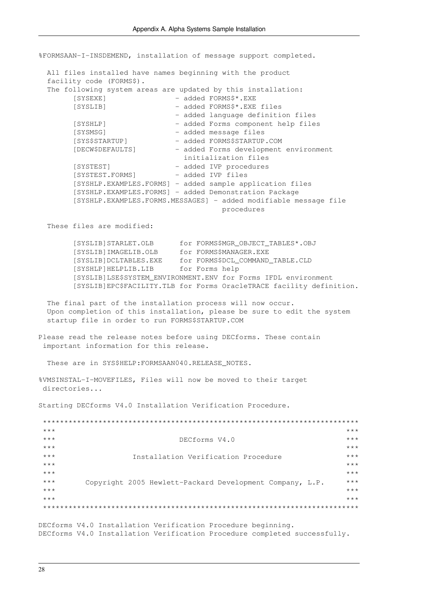%FORMSAAN-I-INSDEMEND, installation of message support completed.

 All files installed have names beginning with the product facility code (FORMS\$). The following system areas are updated by this installation: [SYSEXE] - added FORMS\$\*.EXE [SYSLIB] - added FORMS\$\*.EXE files - added language definition files [SYSHLP] - added Forms component help files [SYSMSG] - added message files [SYS\$STARTUP] - added FORMS\$STARTUP.COM [DECW\$DEFAULTS] - added Forms development environment initialization files [SYSTEST] - added IVP procedures [SYSTEST.FORMS] - added IVP files [SYSHLP.EXAMPLES.FORMS] - added sample application files [SYSHLP.EXAMPLES.FORMS] - added Demonstration Package [SYSHLP.EXAMPLES.FORMS.MESSAGES] - added modifiable message file procedures

These files are modified:

 [SYSLIB]STARLET.OLB for FORMS\$MGR\_OBJECT\_TABLES\*.OBJ [SYSLIB]IMAGELIB.OLB for FORMS\$MANAGER.EXE [SYSLIB]DCLTABLES.EXE for FORMS\$DCL\_COMMAND\_TABLE.CLD [SYSHLP]HELPLIB.LIB for Forms help [SYSLIB]LSE\$SYSTEM\_ENVIRONMENT.ENV for Forms IFDL environment [SYSLIB]EPC\$FACILITY.TLB for Forms OracleTRACE facility definition.

 The final part of the installation process will now occur. Upon completion of this installation, please be sure to edit the system startup file in order to run FORMS\$STARTUP.COM

Please read the release notes before using DECforms. These contain important information for this release.

These are in SYS\$HELP: FORMSAAN040.RELEASE NOTES.

%VMSINSTAL-I-MOVEFILES, Files will now be moved to their target directories...

Starting DECforms V4.0 Installation Verification Procedure.

| $***$ |                                                          | $***$ |
|-------|----------------------------------------------------------|-------|
| $***$ | DECforms V4.0                                            | $***$ |
| $***$ |                                                          | $***$ |
| $***$ | Installation Verification Procedure                      | $***$ |
| $***$ |                                                          | $***$ |
| $***$ |                                                          | $***$ |
| $***$ | Copyright 2005 Hewlett-Packard Development Company, L.P. | $***$ |
| $***$ |                                                          | $***$ |
| $***$ |                                                          | $***$ |
|       |                                                          |       |

DECforms V4.0 Installation Verification Procedure beginning. DECforms V4.0 Installation Verification Procedure completed successfully.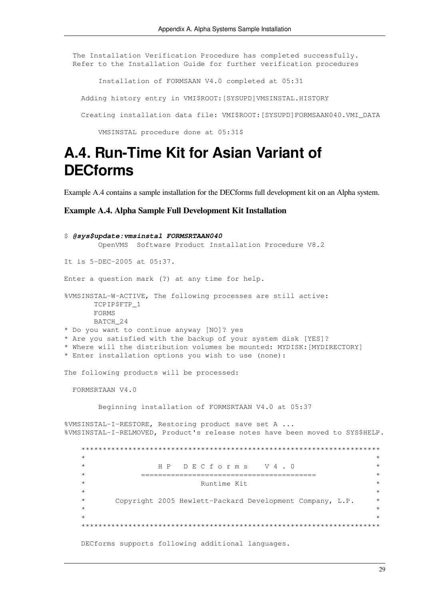The Installation Verification Procedure has completed successfully. Refer to the Installation Guide for further verification procedures

Installation of FORMSAAN V4.0 completed at 05:31

Adding history entry in VMI\$ROOT: [SYSUPD]VMSINSTAL.HISTORY

Creating installation data file: VMI\$ROOT: [SYSUPD]FORMSAAN040.VMI\_DATA

VMSINSTAL procedure done at 05:31\$

### <span id="page-36-0"></span>A.4. Run-Time Kit for Asian Variant of **DECforms**

<span id="page-36-1"></span>Example A.4 contains a sample installation for the DEC forms full development kit on an Alpha system.

**Example A.4. Alpha Sample Full Development Kit Installation** 

```
$ @sys$update: vmsinstal FORMSRTAAN040
      OpenVMS Software Product Installation Procedure V8.2
It is 5-DEC-2005 at 05:37.
Enter a question mark (?) at any time for help.
%VMSINSTAL-W-ACTIVE, The following processes are still active:
     TCPIP$FTP 1
     FORMS
     BATCH 24
* Do you want to continue anyway [NO]? yes
* Are you satisfied with the backup of your system disk [YES]?
* Where will the distribution volumes be mounted: MYDISK: [MYDIRECTORY]
* Enter installation options you wish to use (none):
The following products will be processed:
 FORMSRTAAN V4.0
      Beginning installation of FORMSRTAAN V4.0 at 05:37
%VMSINSTAL-I-RESTORE, Restoring product save set A ...
%VMSINSTAL-I-RELMOVED, Product's release notes have been moved to SYS$HELP.
   \starHP DECforms V4.0
   \star\starRuntime Kit
         Copyright 2005 Hewlett-Packard Development Company, L.P.
                                                             \starDECforms supports following additional languages.
```
29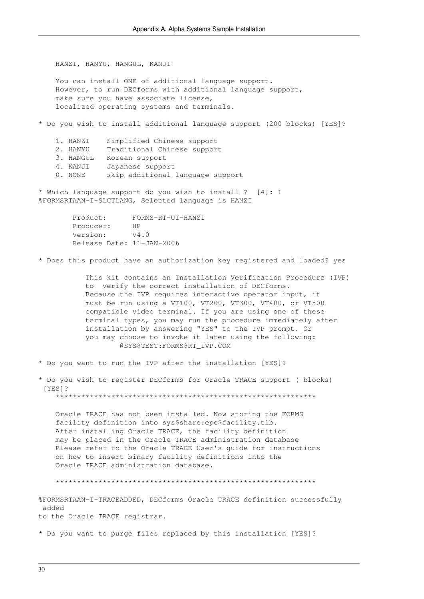HANZI, HANYU, HANGUL, KANJI

 You can install ONE of additional language support. However, to run DECforms with additional language support, make sure you have associate license, localized operating systems and terminals.

\* Do you wish to install additional language support (200 blocks) [YES]?

- 1. HANZI Simplified Chinese support
- 2. HANYU Traditional Chinese support
- 3. HANGUL Korean support
- 4. KANJI Japanese support
- 0. NONE skip additional language support

\* Which language support do you wish to install ? [4]: 1 %FORMSRTAAN-I-SLCTLANG, Selected language is HANZI

> Product: FORMS-RT-UI-HANZI Producer: HP Version: V4.0 Release Date: 11-JAN-2006

\* Does this product have an authorization key registered and loaded? yes

 This kit contains an Installation Verification Procedure (IVP) to verify the correct installation of DECforms. Because the IVP requires interactive operator input, it must be run using a VT100, VT200, VT300, VT400, or VT500 compatible video terminal. If you are using one of these terminal types, you may run the procedure immediately after installation by answering "YES" to the IVP prompt. Or you may choose to invoke it later using the following: @SYS\$TEST:FORMS\$RT\_IVP.COM

\* Do you want to run the IVP after the installation [YES]?

\* Do you wish to register DECforms for Oracle TRACE support ( blocks) [YES]?

\*\*\*\*\*\*\*\*\*\*\*\*\*\*\*\*\*\*\*\*\*\*\*\*\*\*\*\*\*\*\*\*\*\*\*\*\*\*\*\*\*\*\*\*\*\*\*\*\*\*\*\*\*\*\*\*\*\*\*\*\*

 Oracle TRACE has not been installed. Now storing the FORMS facility definition into sys\$share:epc\$facility.tlb. After installing Oracle TRACE, the facility definition may be placed in the Oracle TRACE administration database Please refer to the Oracle TRACE User's guide for instructions on how to insert binary facility definitions into the Oracle TRACE administration database.

\*\*\*\*\*\*\*\*\*\*\*\*\*\*\*\*\*\*\*\*\*\*\*\*\*\*\*\*\*\*\*\*\*\*\*\*\*\*\*\*\*\*\*\*\*\*\*\*\*\*\*\*\*\*\*\*\*\*\*\*\*

%FORMSRTAAN-I-TRACEADDED, DECforms Oracle TRACE definition successfully added

to the Oracle TRACE registrar.

\* Do you want to purge files replaced by this installation [YES]?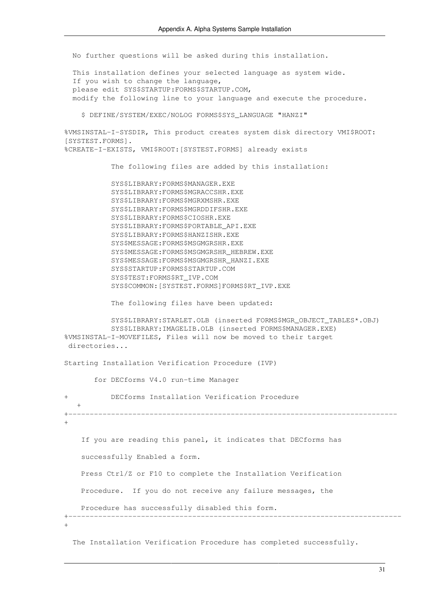No further questions will be asked during this installation.

 This installation defines your selected language as system wide. If you wish to change the language, please edit SYS\$STARTUP:FORMS\$STARTUP.COM, modify the following line to your language and execute the procedure.

\$ DEFINE/SYSTEM/EXEC/NOLOG FORMS\$SYS\_LANGUAGE "HANZI"

%VMSINSTAL-I-SYSDIR, This product creates system disk directory VMI\$ROOT: [SYSTEST.FORMS]. %CREATE-I-EXISTS, VMI\$ROOT:[SYSTEST.FORMS] already exists

The following files are added by this installation:

 SYS\$LIBRARY:FORMS\$MANAGER.EXE SYS\$LIBRARY:FORMS\$MGRACCSHR.EXE SYS\$LIBRARY:FORMS\$MGRXMSHR.EXE SYS\$LIBRARY:FORMS\$MGRDDIFSHR.EXE SYS\$LIBRARY:FORMS\$CIOSHR.EXE SYS\$LIBRARY:FORMS\$PORTABLE\_API.EXE SYS\$LIBRARY:FORMS\$HANZISHR.EXE SYS\$MESSAGE:FORMS\$MSGMGRSHR.EXE SYS\$MESSAGE:FORMS\$MSGMGRSHR\_HEBREW.EXE SYS\$MESSAGE:FORMS\$MSGMGRSHR\_HANZI.EXE SYS\$STARTUP:FORMS\$STARTUP.COM SYS\$TEST:FORMS\$RT\_IVP.COM SYS\$COMMON:[SYSTEST.FORMS]FORMS\$RT\_IVP.EXE

The following files have been updated:

```
 SYS$LIBRARY:STARLET.OLB (inserted FORMS$MGR_OBJECT_TABLES*.OBJ)
            SYS$LIBRARY:IMAGELIB.OLB (inserted FORMS$MANAGER.EXE)
%VMSINSTAL-I-MOVEFILES, Files will now be moved to their target
 directories...
Starting Installation Verification Procedure (IVP)
```
for DECforms V4.0 run-time Manager

+ DECforms Installation Verification Procedure  $+$ +----------------------------------------------------------------------------- + If you are reading this panel, it indicates that DECforms has successfully Enabled a form. Press Ctrl/Z or F10 to complete the Installation Verification Procedure. If you do not receive any failure messages, the Procedure has successfully disabled this form. +------------------------------------------------------------------------------  $+$ 

The Installation Verification Procedure has completed successfully.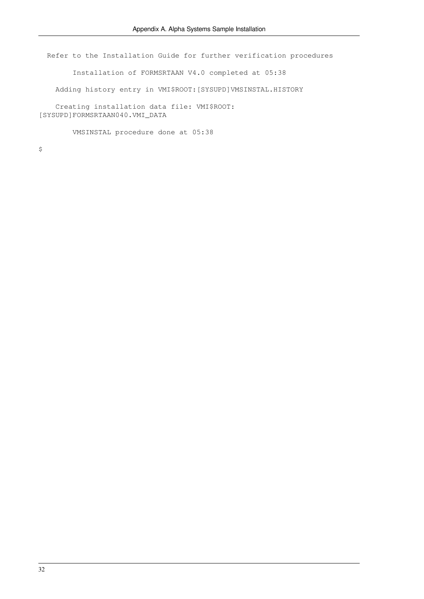Refer to the Installation Guide for further verification procedures

Installation of FORMSRTAAN V4.0 completed at 05:38

Adding history entry in VMI\$ROOT:[SYSUPD]VMSINSTAL.HISTORY

 Creating installation data file: VMI\$ROOT: [SYSUPD]FORMSRTAAN040.VMI\_DATA

VMSINSTAL procedure done at 05:38

 $\varsigma$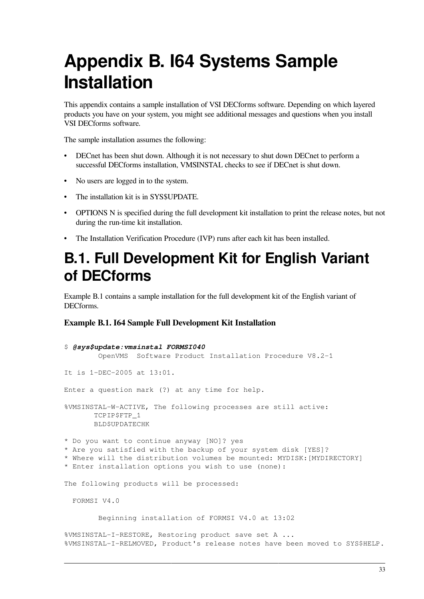# <span id="page-40-0"></span>**Appendix B. I64 Systems Sample Installation**

This appendix contains a sample installation of VSI DECforms software. Depending on which layered products you have on your system, you might see additional messages and questions when you install VSI DECforms software.

The sample installation assumes the following:

- DECnet has been shut down. Although it is not necessary to shut down DECnet to perform a successful DECforms installation, VMSINSTAL checks to see if DECnet is shut down.
- No users are logged in to the system.
- The installation kit is in SYS\$UPDATE.
- OPTIONS N is specified during the full development kit installation to print the release notes, but not during the run-time kit installation.
- The Installation Verification Procedure (IVP) runs after each kit has been installed.

## <span id="page-40-1"></span>**B.1. Full Development Kit for English Variant of DECforms**

[Example](#page-40-2) B.1 contains a sample installation for the full development kit of the English variant of DECforms.

### <span id="page-40-2"></span>**Example B.1. I64 Sample Full Development Kit Installation**

```
$ @sys$update:vmsinstal FORMSI040
         OpenVMS Software Product Installation Procedure V8.2-1
It is 1-DEC-2005 at 13:01.
Enter a question mark (?) at any time for help.
%VMSINSTAL-W-ACTIVE, The following processes are still active:
        TCPIP$FTP_1
        BLD$UPDATECHK
* Do you want to continue anyway [NO]? yes
* Are you satisfied with the backup of your system disk [YES]?
* Where will the distribution volumes be mounted: MYDISK:[MYDIRECTORY] 
* Enter installation options you wish to use (none):
The following products will be processed:
   FORMSI V4.0
         Beginning installation of FORMSI V4.0 at 13:02
%VMSINSTAL-I-RESTORE, Restoring product save set A ...
%VMSINSTAL-I-RELMOVED, Product's release notes have been moved to SYS$HELP.
```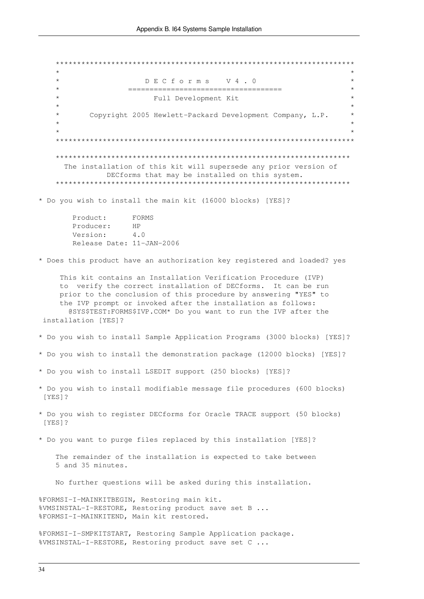$\star$ DECforms V4.0  $\star$ =====================================  $\star$ Full Development Kit Copyright 2005 Hewlett-Packard Development Company, L.P. The installation of this kit will supersede any prior version of DECforms that may be installed on this system. \* Do you wish to install the main kit (16000 blocks) [YES]? Product: FORMS Producer: HP  $4.0$ Version: Release Date: 11-JAN-2006 \* Does this product have an authorization key registered and loaded? yes This kit contains an Installation Verification Procedure (IVP) to verify the correct installation of DECforms. It can be run prior to the conclusion of this procedure by answering "YES" to the IVP prompt or invoked after the installation as follows: @SYS\$TEST:FORMS\$IVP.COM\* Do you want to run the IVP after the installation [YES]? \* Do you wish to install Sample Application Programs (3000 blocks) [YES]? \* Do you wish to install the demonstration package (12000 blocks) [YES]? \* Do you wish to install LSEDIT support (250 blocks) [YES]? \* Do you wish to install modifiable message file procedures (600 blocks) [YES]? \* Do you wish to register DECforms for Oracle TRACE support (50 blocks) [YES]? \* Do you want to purge files replaced by this installation [YES]? The remainder of the installation is expected to take between 5 and 35 minutes. No further questions will be asked during this installation. %FORMSI-I-MAINKITBEGIN, Restoring main kit. %VMSINSTAL-I-RESTORE, Restoring product save set B ... %FORMSI-I-MAINKITEND, Main kit restored. %FORMSI-I-SMPKITSTART, Restoring Sample Application package. %VMSINSTAL-I-RESTORE, Restoring product save set C ...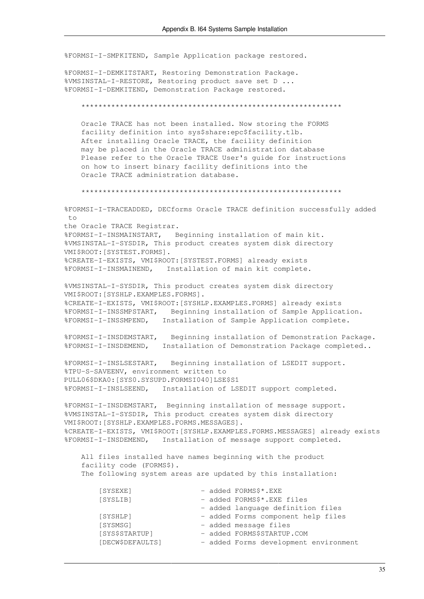%FORMSI-I-SMPKITEND, Sample Application package restored.

%FORMSI-I-DEMKITSTART, Restoring Demonstration Package. %VMSINSTAL-I-RESTORE, Restoring product save set D ... %FORMSI-I-DEMKITEND, Demonstration Package restored.

Oracle TRACE has not been installed. Now storing the FORMS facility definition into sys\$share:epc\$facility.tlb. After installing Oracle TRACE, the facility definition may be placed in the Oracle TRACE administration database Please refer to the Oracle TRACE User's quide for instructions on how to insert binary facility definitions into the Oracle TRACE administration database.

%FORMSI-I-TRACEADDED, DECforms Oracle TRACE definition successfully added  $+$   $\circ$ the Oracle TRACE Registrar. %FORMSI-I-INSMAINSTART, Beginning installation of main kit. %VMSINSTAL-I-SYSDIR, This product creates system disk directory VMI\$ROOT: [SYSTEST.FORMS]. %CREATE-I-EXISTS, VMI\$ROOT: [SYSTEST.FORMS] already exists %FORMSI-I-INSMAINEND, Installation of main kit complete.

%VMSINSTAL-I-SYSDIR, This product creates system disk directory VMI\$ROOT: [SYSHLP.EXAMPLES.FORMS]. %CREATE-I-EXISTS, VMI\$ROOT: [SYSHLP.EXAMPLES.FORMS] already exists %FORMSI-I-INSSMPSTART, Beginning installation of Sample Application. %FORMSI-I-INSSMPEND, Installation of Sample Application complete.

%FORMSI-I-INSDEMSTART, Beginning installation of Demonstration Package. %FORMSI-I-INSDEMEND, Installation of Demonstration Package completed..

%FORMSI-I-INSLSESTART, Beginning installation of LSEDIT support. %TPU-S-SAVEENV, environment written to PULL06\$DKA0: [SYS0.SYSUPD.FORMSI040]LSE\$S1 %FORMSI-I-INSLSEEND, Installation of LSEDIT support completed.

%FORMSI-I-INSDEMSTART, Beginning installation of message support. %VMSINSTAL-I-SYSDIR, This product creates system disk directory VMI\$ROOT: [SYSHLP.EXAMPLES.FORMS.MESSAGES]. %CREATE-I-EXISTS, VMI\$ROOT: [SYSHLP.EXAMPLES.FORMS.MESSAGES] already exists %FORMSI-I-INSDEMEND, Installation of message support completed.

All files installed have names beginning with the product facility code (FORMS\$). The following system areas are updated by this installation:

| [SYSEXE]         |  | - added FORMS\$*.EXE                  |
|------------------|--|---------------------------------------|
| [SYSLIB]         |  | - added FORMS\$*.EXE files            |
|                  |  | - added language definition files     |
| [SYSHLP]         |  | - added Forms component help files    |
| [SYSMSG]         |  | - added message files                 |
| [SYS\$STARTUP]   |  | - added FORMS\$STARTUP.COM            |
| [DECW\$DEFAULTS] |  | - added Forms development environment |
|                  |  |                                       |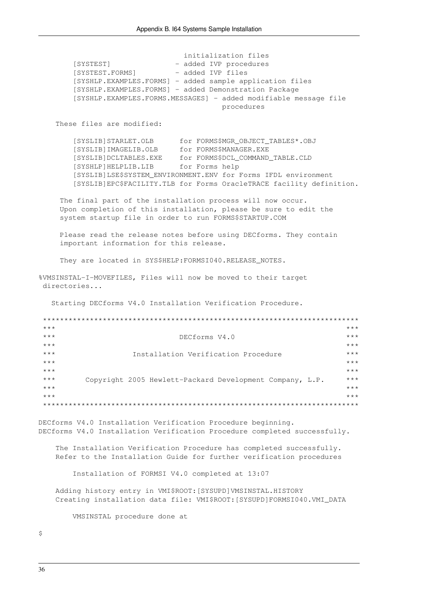initialization files [SYSTEST] - added IVP procedures [SYSTEST.FORMS] - added IVP files [SYSHLP.EXAMPLES.FORMS] - added sample application files [SYSHLP.EXAMPLES.FORMS] - added Demonstration Package [SYSHLP.EXAMPLES.FORMS.MESSAGES] - added modifiable message file procedures These files are modified: for FORMS\$MGR\_OBJECT\_TABLES\*.OBJ [SYSLIB]STARLET.OLB [SYSLIB]IMAGELIB.OLB for FORMS\$MANAGER.EXE [SYSLIB]DCLTABLES.EXE for FORMS\$DCL\_COMMAND\_TABLE.CLD [SYSHLP] HELPLIB.LIB for Forms help [SYSLIB]LSE\$SYSTEM\_ENVIRONMENT.ENV for Forms IFDL environment [SYSLIB]EPC\$FACILITY.TLB for Forms OracleTRACE facility definition. The final part of the installation process will now occur. Upon completion of this installation, please be sure to edit the system startup file in order to run FORMS\$STARTUP.COM Please read the release notes before using DECforms. They contain important information for this release. They are located in SYS\$HELP: FORMSI040. RELEASE\_NOTES. %VMSINSTAL-I-MOVEFILES, Files will now be moved to their target directories... Starting DECforms V4.0 Installation Verification Procedure.  $***$  $***$  $***$  $***$ DECforms V4.0  $***$  $***$  $***$ Installation Verification Procedure  $***$  $***$  $***$  $***$  $***$  $***$ Copyright 2005 Hewlett-Packard Development Company, L.P.  $***$  $***$  $***$  $***$  $+ + +$ DECforms V4.0 Installation Verification Procedure beginning. DECforms V4.0 Installation Verification Procedure completed successfully. The Installation Verification Procedure has completed successfully. Refer to the Installation Guide for further verification procedures Installation of FORMSI V4.0 completed at 13:07 Adding history entry in VMI\$ROOT: [SYSUPD] VMSINSTAL.HISTORY Creating installation data file: VMI\$ROOT: [SYSUPD]FORMSI040.VMI DATA VMSINSTAL procedure done at

 $\ddot{\mathcal{S}}$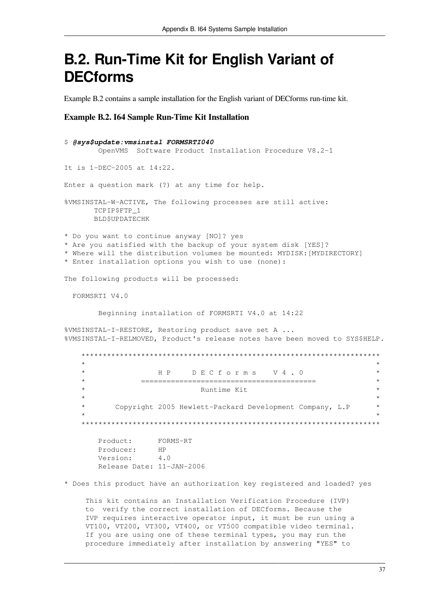## <span id="page-44-0"></span>**B.2. Run-Time Kit for English Variant of DECforms**

<span id="page-44-1"></span>Example B.2 contains a sample installation for the English variant of DECforms run-time kit.

#### **Example B.2. 164 Sample Run-Time Kit Installation**

| \$ @sys\$update: vmsinstal FORMSRTI040                                                                                                                                                                                                          |                    |
|-------------------------------------------------------------------------------------------------------------------------------------------------------------------------------------------------------------------------------------------------|--------------------|
| Software Product Installation Procedure V8.2-1<br>OpenVMS                                                                                                                                                                                       |                    |
| It is 1-DEC-2005 at 14:22.                                                                                                                                                                                                                      |                    |
| Enter a question mark (?) at any time for help.                                                                                                                                                                                                 |                    |
| %VMSINSTAL-W-ACTIVE, The following processes are still active:<br>TCPIP\$FTP_1<br><b>BLD\$UPDATECHK</b>                                                                                                                                         |                    |
| * Do you want to continue anyway [NO]? yes<br>* Are you satisfied with the backup of your system disk [YES]?<br>* Where will the distribution volumes be mounted: MYDISK: [MYDIRECTORY]<br>* Enter installation options you wish to use (none): |                    |
| The following products will be processed:                                                                                                                                                                                                       |                    |
| FORMSRTI V4.0                                                                                                                                                                                                                                   |                    |
| Beginning installation of FORMSRTI V4.0 at 14:22                                                                                                                                                                                                |                    |
| %VMSINSTAL-I-RESTORE, Restoring product save set A<br>%VMSINSTAL-I-RELMOVED, Product's release notes have been moved to SYS\$HELP.                                                                                                              |                    |
|                                                                                                                                                                                                                                                 |                    |
| $^{\star}$<br>HP DECforms V4.0<br>$\star$<br>$^{\star}$                                                                                                                                                                                         | $\star$<br>$\star$ |
| Runtime Kit                                                                                                                                                                                                                                     | $\star$            |
| $\star$<br>$^\star$<br>Copyright 2005 Hewlett-Packard Development Company, L.P                                                                                                                                                                  | $\star$<br>$\star$ |
|                                                                                                                                                                                                                                                 |                    |
| Product:<br>FORMS-RT<br>Producer:<br><b>HP</b><br>Version:<br>4.0<br>Release Date: 11-JAN-2006                                                                                                                                                  |                    |

\* Does this product have an authorization key registered and loaded? yes

This kit contains an Installation Verification Procedure (IVP) to verify the correct installation of DECforms. Because the IVP requires interactive operator input, it must be run using a VT100, VT200, VT300, VT400, or VT500 compatible video terminal. If you are using one of these terminal types, you may run the procedure immediately after installation by answering "YES" to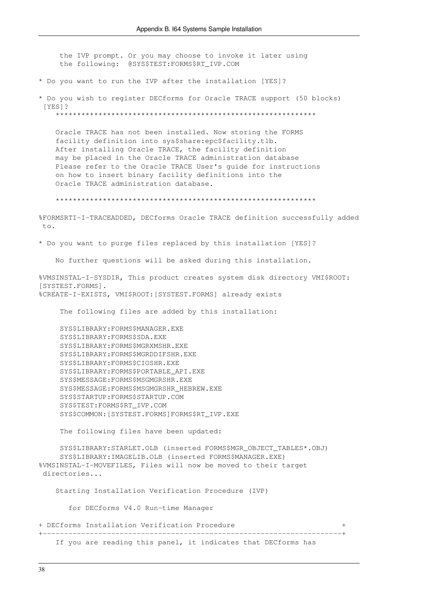the IVP prompt. Or you may choose to invoke it later using the following: @SYS\$TEST:FORMS\$RT IVP.COM

\* Do you want to run the IVP after the installation [YES]?

\* Do you wish to register DECforms for Oracle TRACE support (50 blocks) [YES]?

Oracle TRACE has not been installed. Now storing the FORMS facility definition into sys\$share:epc\$facility.tlb. After installing Oracle TRACE, the facility definition may be placed in the Oracle TRACE administration database Please refer to the Oracle TRACE User's guide for instructions on how to insert binary facility definitions into the Oracle TRACE administration database.

%FORMSRTI-I-TRACEADDED, DECforms Oracle TRACE definition successfully added to.

\* Do you want to purge files replaced by this installation [YES]?

No further questions will be asked during this installation.

%VMSINSTAL-I-SYSDIR, This product creates system disk directory VMI\$ROOT: [SYSTEST.FORMS]. %CREATE-I-EXISTS, VMI\$ROOT: [SYSTEST.FORMS] already exists

The following files are added by this installation:

SYS\$LIBRARY: FORMS\$MANAGER.EXE SYS\$LIBRARY: FORMS\$SDA.EXE SYS\$LIBRARY: FORMS\$MGRXMSHR.EXE SYS\$LIBRARY: FORMS\$MGRDDIFSHR.EXE SYS\$LIBRARY: FORMS\$CIOSHR.EXE SYS\$LIBRARY: FORMS\$PORTABLE API.EXE SYS\$MESSAGE: FORMS\$MSGMGRSHR.EXE SYS\$MESSAGE: FORMS\$MSGMGRSHR\_HEBREW.EXE SYS\$STARTUP: FORMS\$STARTUP.COM SYS\$TEST:FORMS\$RT IVP.COM SYS\$COMMON: [SYSTEST.FORMS]FORMS\$RT IVP.EXE

The following files have been updated:

SYS\$LIBRARY: STARLET. OLB (inserted FORMS\$MGR OBJECT TABLES\*. OBJ) SYS\$LIBRARY: IMAGELIB.OLB (inserted FORMS\$MANAGER.EXE) %VMSINSTAL-I-MOVEFILES, Files will now be moved to their target directories...

Starting Installation Verification Procedure (IVP)

for DECforms V4.0 Run-time Manager

+ DECforms Installation Verification Procedure

If you are reading this panel, it indicates that DECforms has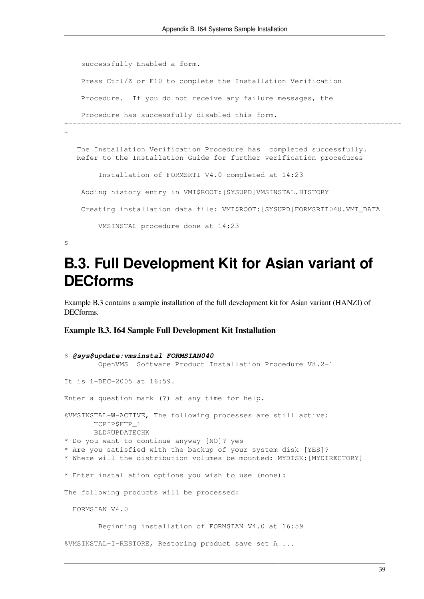```
 successfully Enabled a form.
     Press Ctrl/Z or F10 to complete the Installation Verification
     Procedure. If you do not receive any failure messages, the
    Procedure has successfully disabled this form.
+------------------------------------------------------------------------------
\overline{+} The Installation Verification Procedure has completed successfully.
   Refer to the Installation Guide for further verification procedures
         Installation of FORMSRTI V4.0 completed at 14:23
     Adding history entry in VMI$ROOT:[SYSUPD]VMSINSTAL.HISTORY
     Creating installation data file: VMI$ROOT:[SYSUPD]FORMSRTI040.VMI_DATA
         VMSINSTAL procedure done at 14:23
```

```
\varsigma
```
## **B.3. Full Development Kit for Asian variant of DECforms**

[Example](#page-46-1) B.3 contains a sample installation of the full development kit for Asian variant (HANZI) of DECforms.

### <span id="page-46-1"></span>**Example B.3. I64 Sample Full Development Kit Installation**

```
$ @sys$update:vmsinstal FORMSIAN040
         OpenVMS Software Product Installation Procedure V8.2-1
It is 1-DEC-2005 at 16:59.
Enter a question mark (?) at any time for help.
%VMSINSTAL-W-ACTIVE, The following processes are still active:
       TCPIP$FTP_1
       BLD$UPDATECHK
* Do you want to continue anyway [NO]? yes
* Are you satisfied with the backup of your system disk [YES]?
* Where will the distribution volumes be mounted: MYDISK:[MYDIRECTORY]
* Enter installation options you wish to use (none):
The following products will be processed:
   FORMSIAN V4.0
         Beginning installation of FORMSIAN V4.0 at 16:59
%VMSINSTAL-I-RESTORE, Restoring product save set A ...
```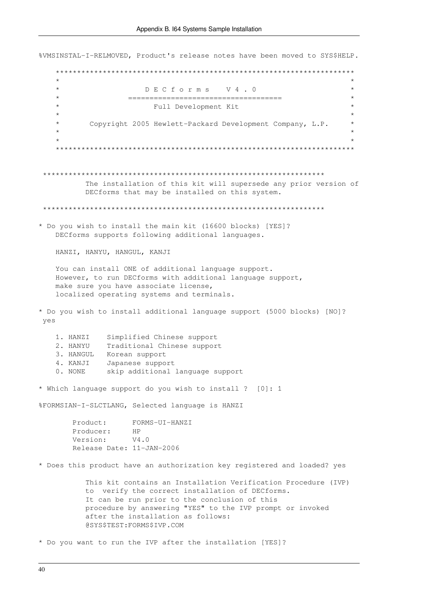%VMSINSTAL-I-RELMOVED, Product's release notes have been moved to SYS\$HELP.  $\star$  $\star$ DECforms V4.0  $\star$  $\star$ Full Development Kit  $\star$ Copyright 2005 Hewlett-Packard Development Company, L.P. The installation of this kit will supersede any prior version of DECforms that may be installed on this system. \* Do you wish to install the main kit (16600 blocks) [YES]? DECforms supports following additional languages. HANZI, HANYU, HANGUL, KANJI You can install ONE of additional language support. However, to run DECforms with additional language support, make sure you have associate license, localized operating systems and terminals. \* Do you wish to install additional language support (5000 blocks) [NO]? yes 1. HANZI Simplified Chinese support 2. HANYU Traditional Chinese support 3. HANGUL Korean support 4. KANJI Japanese support<br>0. NONE skip additional language support \* Which language support do you wish to install ? [0]: 1 %FORMSIAN-I-SLCTLANG, Selected language is HANZI FORMS-UI-HANZI Product:  $HP$ Producer:  $V4.0$ Version: Release Date: 11-JAN-2006 \* Does this product have an authorization key registered and loaded? yes This kit contains an Installation Verification Procedure (IVP) to verify the correct installation of DECforms. It can be run prior to the conclusion of this procedure by answering "YES" to the IVP prompt or invoked after the installation as follows: @SYS\$TEST:FORMS\$IVP.COM \* Do you want to run the IVP after the installation [YES]?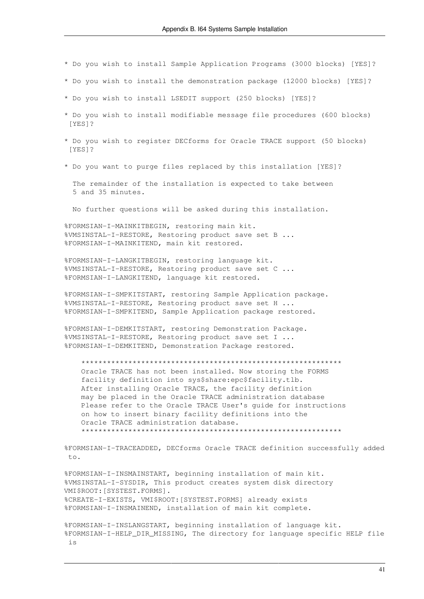- \* Do you wish to install Sample Application Programs (3000 blocks) [YES]?
- \* Do you wish to install the demonstration package (12000 blocks) [YES]?
- \* Do you wish to install LSEDIT support (250 blocks) [YES]?
- \* Do you wish to install modifiable message file procedures (600 blocks) [YES]?
- \* Do you wish to register DECforms for Oracle TRACE support (50 blocks)  $[YES]$ ?
- \* Do you want to purge files replaced by this installation [YES]?

The remainder of the installation is expected to take between 5 and 35 minutes.

No further questions will be asked during this installation.

%FORMSIAN-I-MAINKITBEGIN, restoring main kit. %VMSINSTAL-I-RESTORE, Restoring product save set B ... %FORMSIAN-I-MAINKITEND, main kit restored.

%FORMSIAN-I-LANGKITBEGIN, restoring language kit. %VMSINSTAL-I-RESTORE, Restoring product save set C ... %FORMSIAN-I-LANGKITEND, language kit restored.

%FORMSIAN-I-SMPKITSTART, restoring Sample Application package. %VMSINSTAL-I-RESTORE, Restoring product save set H ... %FORMSIAN-I-SMPKITEND, Sample Application package restored.

%FORMSIAN-I-DEMKITSTART, restoring Demonstration Package. %VMSINSTAL-I-RESTORE, Restoring product save set I ... %FORMSIAN-I-DEMKITEND, Demonstration Package restored.

Oracle TRACE has not been installed. Now storing the FORMS facility definition into sys\$share:epc\$facility.tlb. After installing Oracle TRACE, the facility definition may be placed in the Oracle TRACE administration database Please refer to the Oracle TRACE User's quide for instructions on how to insert binary facility definitions into the Oracle TRACE administration database. 

%FORMSIAN-I-TRACEADDED, DECforms Oracle TRACE definition successfully added to.

%FORMSIAN-I-INSMAINSTART, beginning installation of main kit. %VMSINSTAL-I-SYSDIR, This product creates system disk directory VMI\$ROOT: [SYSTEST.FORMS]. %CREATE-I-EXISTS, VMI\$ROOT: [SYSTEST.FORMS] already exists %FORMSIAN-I-INSMAINEND, installation of main kit complete.

%FORMSIAN-I-INSLANGSTART, beginning installation of language kit. %FORMSIAN-I-HELP DIR MISSING, The directory for language specific HELP file  $\frac{1}{2}$  S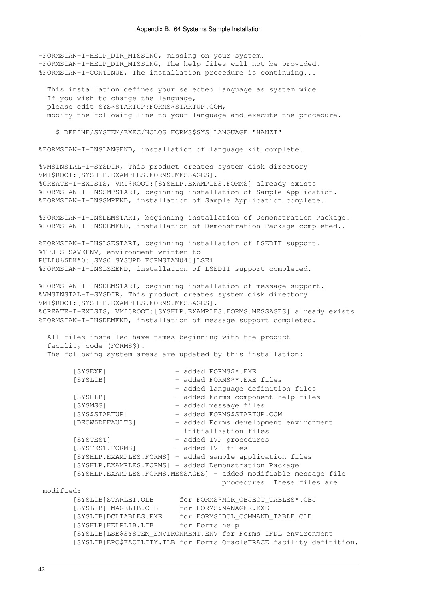-FORMSIAN-I-HELP\_DIR\_MISSING, missing on your system. -FORMSIAN-I-HELP\_DIR\_MISSING, The help files will not be provided. %FORMSIAN-I-CONTINUE, The installation procedure is continuing... This installation defines your selected language as system wide. If you wish to change the language, please edit SYS\$STARTUP:FORMS\$STARTUP.COM, modify the following line to your language and execute the procedure. \$ DEFINE/SYSTEM/EXEC/NOLOG FORMS\$SYS\_LANGUAGE "HANZI" %FORMSIAN-I-INSLANGEND, installation of language kit complete. %VMSINSTAL-I-SYSDIR, This product creates system disk directory VMI\$ROOT:[SYSHLP.EXAMPLES.FORMS.MESSAGES]. %CREATE-I-EXISTS, VMI\$ROOT:[SYSHLP.EXAMPLES.FORMS] already exists %FORMSIAN-I-INSSMPSTART, beginning installation of Sample Application. %FORMSIAN-I-INSSMPEND, installation of Sample Application complete. %FORMSIAN-I-INSDEMSTART, beginning installation of Demonstration Package. %FORMSIAN-I-INSDEMEND, installation of Demonstration Package completed.. %FORMSIAN-I-INSLSESTART, beginning installation of LSEDIT support. %TPU-S-SAVEENV, environment written to PULL06\$DKA0:[SYS0.SYSUPD.FORMSIAN040]LSE1 %FORMSIAN-I-INSLSEEND, installation of LSEDIT support completed. %FORMSIAN-I-INSDEMSTART, beginning installation of message support. %VMSINSTAL-I-SYSDIR, This product creates system disk directory VMI\$ROOT:[SYSHLP.EXAMPLES.FORMS.MESSAGES]. %CREATE-I-EXISTS, VMI\$ROOT:[SYSHLP.EXAMPLES.FORMS.MESSAGES] already exists %FORMSIAN-I-INSDEMEND, installation of message support completed. All files installed have names beginning with the product facility code (FORMS\$). The following system areas are updated by this installation: [SYSEXE] - added FORMS\$\*.EXE [SYSLIB] - added FORMS\$\*.EXE files - added language definition files [SYSHLP] - added Forms component help files [SYSMSG] - added message files [SYS\$STARTUP] - added FORMS\$STARTUP.COM [DECW\$DEFAULTS] - added Forms development environment initialization files [SYSTEST] - added IVP procedures [SYSTEST.FORMS] - added IVP files [SYSHLP.EXAMPLES.FORMS] - added sample application files [SYSHLP.EXAMPLES.FORMS] - added Demonstration Package [SYSHLP.EXAMPLES.FORMS.MESSAGES] - added modifiable message file procedures These files are modified: [SYSLIB]STARLET.OLB for FORMS\$MGR\_OBJECT\_TABLES\*.OBJ [SYSLIB]IMAGELIB.OLB for FORMS\$MANAGER.EXE [SYSLIB]DCLTABLES.EXE for FORMS\$DCL\_COMMAND\_TABLE.CLD [SYSHLP]HELPLIB.LIB for Forms help [SYSLIB]LSE\$SYSTEM\_ENVIRONMENT.ENV for Forms IFDL environment [SYSLIB]EPC\$FACILITY.TLB for Forms OracleTRACE facility definition.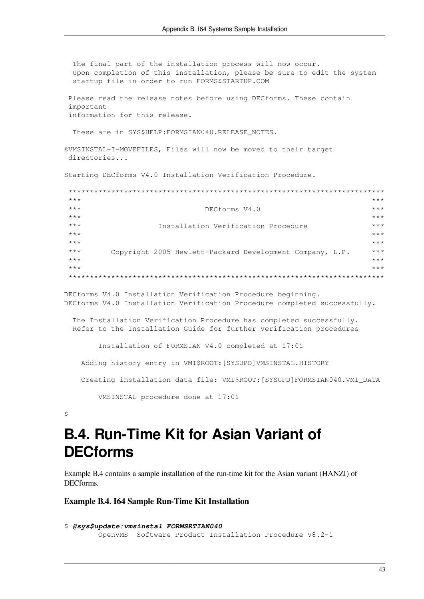The final part of the installation process will now occur. Upon completion of this installation, please be sure to edit the system startup file in order to run FORMS\$STARTUP.COM Please read the release notes before using DECforms. These contain important information for this release. These are in SYS\$HELP: FORMSIAN040. RELEASE NOTES. %VMSINSTAL-I-MOVEFILES, Files will now be moved to their target directories... Starting DECforms V4.0 Installation Verification Procedure.  $\star\star\star$  $***$  $***$ DECforms V4.0  $+ + +$  $+ + +$  $***$ Installation Verification Procedure  $***$  $***$  $***$  $***$  $***$  $***$ Copyright 2005 Hewlett-Packard Development Company, L.P.  $***$  $***$  $***$  $***$  $***$ 

DECforms V4.0 Installation Verification Procedure beginning. DECforms V4.0 Installation Verification Procedure completed successfully.

The Installation Verification Procedure has completed successfully. Refer to the Installation Guide for further verification procedures

Installation of FORMSIAN V4.0 completed at 17:01

Adding history entry in VMI\$ROOT: [SYSUPD]VMSINSTAL.HISTORY

Creating installation data file: VMI\$ROOT: [SYSUPD]FORMSIAN040.VMI DATA

VMSINSTAL procedure done at 17:01

<span id="page-50-0"></span> $\mathsf{S}$ 

## **B.4. Run-Time Kit for Asian Variant of DECforms**

Example B.4 contains a sample installation of the run-time kit for the Asian variant (HANZI) of DECforms.

#### <span id="page-50-1"></span>**Example B.4. 164 Sample Run-Time Kit Installation**

```
$ @sys$update: vmsinstal FORMSRTIAN040
       OpenVMS Software Product Installation Procedure V8.2-1
```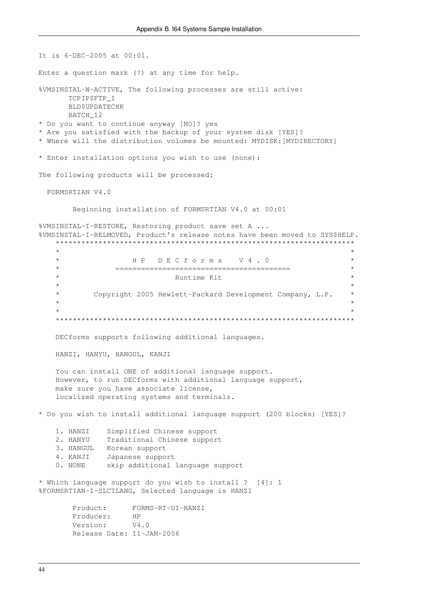It is 6-DEC-2005 at 00:01. Enter a question mark (?) at any time for help. %VMSINSTAL-W-ACTIVE, The following processes are still active: TCPIP\$FTP 1 **BLDSUPDATECHK** BATCH 12 \* Do you want to continue anyway [NO]? yes \* Are you satisfied with the backup of your system disk [YES]? \* Where will the distribution volumes be mounted: MYDISK: [MYDIRECTORY] \* Enter installation options you wish to use (none): The following products will be processed: FORMSRTIAN V4.0 Beginning installation of FORMSRTIAN V4.0 at 00:01 %VMSINSTAL-I-RESTORE, Restoring product save set A ... %VMSINSTAL-I-RELMOVED, Product's release notes have been moved to SYS\$HELP.  $\star$  $\star$ HP DECforms V4.0  $\star$  $\star$ Runtime Kit  $\star$ Copyright 2005 Hewlett-Packard Development Company, L.P. DECforms supports following additional languages. HANZI, HANYU, HANGUL, KANJI You can install ONE of additional language support. However, to run DECforms with additional language support, make sure you have associate license, localized operating systems and terminals. \* Do you wish to install additional language support (200 blocks) [YES]? 1. HANZI Simplified Chinese support Traditional Chinese support 2. HANYU 3. HANGUL Korean support 4. KANJI Japanese support 0. NONE skip additional language support \* Which language support do you wish to install ? [4]: 1 %FORMSRTIAN-I-SLCTLANG, Selected language is HANZI FORMS-RT-UI-HANZI  $Product$ HP Producer: Version:  $V4.0$ Release Date: 11-JAN-2006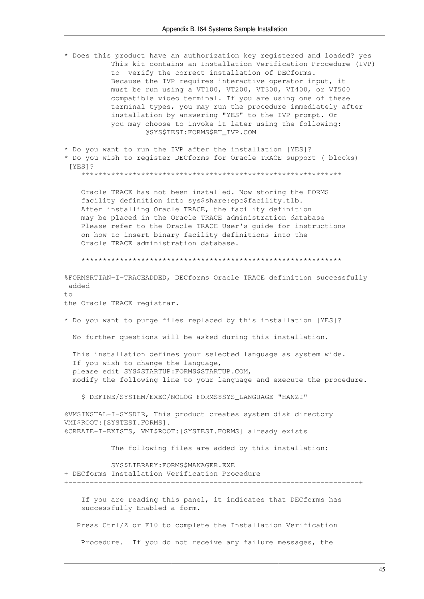\* Does this product have an authorization key registered and loaded? yes This kit contains an Installation Verification Procedure (IVP) to verify the correct installation of DECforms. Because the IVP requires interactive operator input, it must be run using a VT100, VT200, VT300, VT400, or VT500 compatible video terminal. If you are using one of these terminal types, you may run the procedure immediately after installation by answering "YES" to the IVP prompt. Or you may choose to invoke it later using the following: @SYS\$TEST:FORMS\$RT IVP.COM

\* Do you want to run the IVP after the installation [YES]? \* Do you wish to register DECforms for Oracle TRACE support ( blocks)  $[YES]$ 

Oracle TRACE has not been installed. Now storing the FORMS facility definition into sys\$share:epc\$facility.tlb. After installing Oracle TRACE, the facility definition may be placed in the Oracle TRACE administration database Please refer to the Oracle TRACE User's guide for instructions on how to insert binary facility definitions into the Oracle TRACE administration database.

%FORMSRTIAN-I-TRACEADDED, DECforms Oracle TRACE definition successfully added  $+ \circ$ 

the Oracle TRACE registrar.

\* Do you want to purge files replaced by this installation [YES]?

No further questions will be asked during this installation.

This installation defines your selected language as system wide. If you wish to change the language, please edit SYS\$STARTUP: FORMS\$STARTUP.COM, modify the following line to your language and execute the procedure.

\$ DEFINE/SYSTEM/EXEC/NOLOG FORMS\$SYS LANGUAGE "HANZI"

%VMSINSTAL-I-SYSDIR, This product creates system disk directory VMI\$ROOT: [SYSTEST.FORMS]. %CREATE-I-EXISTS, VMI\$ROOT: [SYSTEST.FORMS] already exists

The following files are added by this installation:

SYS\$LIBRARY: FORMS\$MANAGER.EXE + DECforms Installation Verification Procedure

If you are reading this panel, it indicates that DECforms has successfully Enabled a form.

Press Ctrl/Z or F10 to complete the Installation Verification

Procedure. If you do not receive any failure messages, the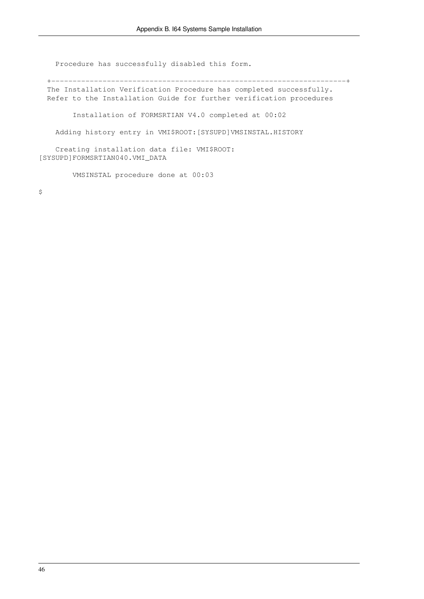Procedure has successfully disabled this form.

 +---------------------------------------------------------------------+ The Installation Verification Procedure has completed successfully. Refer to the Installation Guide for further verification procedures Installation of FORMSRTIAN V4.0 completed at 00:02 Adding history entry in VMI\$ROOT:[SYSUPD]VMSINSTAL.HISTORY

 Creating installation data file: VMI\$ROOT: [SYSUPD]FORMSRTIAN040.VMI\_DATA

VMSINSTAL procedure done at 00:03

 $\mathsf{S}$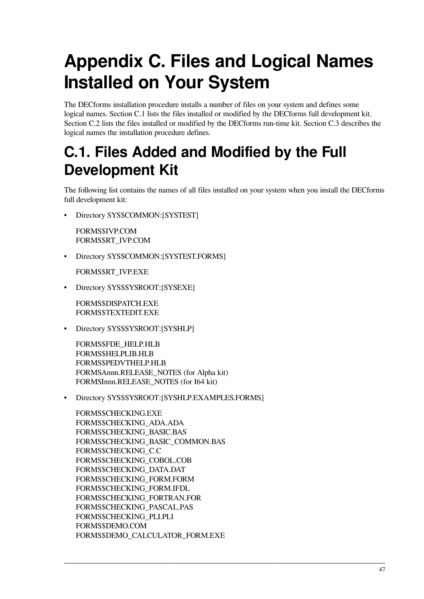# <span id="page-54-0"></span>**Appendix C. Files and Logical Names Installed on Your System**

The DECforms installation procedure installs a number of files on your system and defines some logical names. [Section](#page-54-1) C.1 lists the files installed or modified by the DECforms full development kit. [Section](#page-57-0) C.2 lists the files installed or modified by the DECforms run-time kit. [Section](#page-58-0) C.3 describes the logical names the installation procedure defines.

## <span id="page-54-1"></span>**C.1. Files Added and Modified by the Full Development Kit**

The following list contains the names of all files installed on your system when you install the DECforms full development kit:

• Directory SYS\$COMMON:[SYSTEST]

FORMS\$IVP.COM FORMS\$RT\_IVP.COM

• Directory SYS\$COMMON:[SYSTEST.FORMS]

FORMS\$RT\_IVP.EXE

• Directory SYS\$SYSROOT:[SYSEXE]

FORMS\$DISPATCH.EXE FORMS\$TEXTEDIT.EXE

• Directory SYS\$SYSROOT:[SYSHLP]

FORMS\$FDE\_HELP.HLB FORMS\$HELPLIB.HLB FORMS\$PEDVTHELP.HLB FORMSAnnn.RELEASE\_NOTES (for Alpha kit) FORMSInnn.RELEASE\_NOTES (for I64 kit)

• Directory SYS\$SYSROOT:[SYSHLP.EXAMPLES.FORMS]

FORMS\$CHECKING.EXE FORMS\$CHECKING\_ADA.ADA FORMS\$CHECKING\_BASIC.BAS FORMS\$CHECKING\_BASIC\_COMMON.BAS FORMS\$CHECKING\_C.C FORMS\$CHECKING\_COBOL.COB FORMS\$CHECKING\_DATA.DAT FORMS\$CHECKING\_FORM.FORM FORMS\$CHECKING\_FORM.IFDL FORMS\$CHECKING\_FORTRAN.FOR FORMS\$CHECKING\_PASCAL.PAS FORMS\$CHECKING\_PLI.PLI FORMS\$DEMO.COM FORMS\$DEMO\_CALCULATOR\_FORM.EXE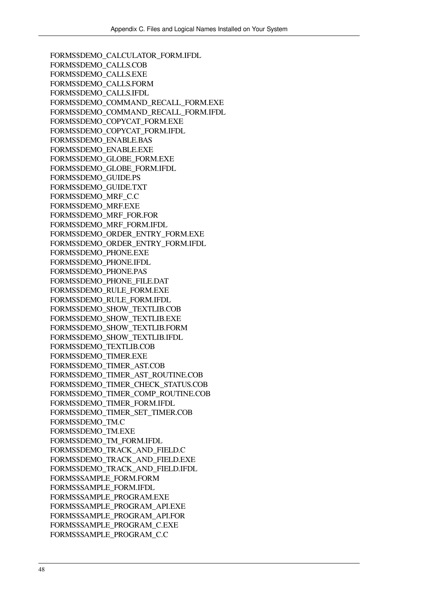FORMS\$DEMO\_CALCULATOR\_FORM.IFDL FORMS\$DEMO\_CALLS.COB FORMS\$DEMO\_CALLS.EXE FORMS\$DEMO\_CALLS.FORM FORMS\$DEMO\_CALLS.IFDL FORMS\$DEMO\_COMMAND\_RECALL\_FORM.EXE FORMS\$DEMO\_COMMAND\_RECALL\_FORM.IFDL FORMS\$DEMO\_COPYCAT\_FORM.EXE FORMS\$DEMO\_COPYCAT\_FORM.IFDL FORMS\$DEMO\_ENABLE.BAS FORMS\$DEMO\_ENABLE.EXE FORMS\$DEMO\_GLOBE\_FORM.EXE FORMS\$DEMO\_GLOBE\_FORM.IFDL FORMS\$DEMO\_GUIDE.PS FORMS\$DEMO\_GUIDE.TXT FORMS\$DEMO\_MRF\_C.C FORMS\$DEMO\_MRF.EXE FORMS\$DEMO\_MRF\_FOR.FOR FORMS\$DEMO\_MRF\_FORM.IFDL FORMS\$DEMO\_ORDER\_ENTRY\_FORM.EXE FORMS\$DEMO\_ORDER\_ENTRY\_FORM.IFDL FORMS\$DEMO\_PHONE.EXE FORMS\$DEMO\_PHONE.IFDL FORMS\$DEMO\_PHONE.PAS FORMS\$DEMO\_PHONE\_FILE.DAT FORMS\$DEMO\_RULE\_FORM.EXE FORMS\$DEMO\_RULE\_FORM.IFDL FORMS\$DEMO\_SHOW\_TEXTLIB.COB FORMS\$DEMO\_SHOW\_TEXTLIB.EXE FORMS\$DEMO\_SHOW\_TEXTLIB.FORM FORMS\$DEMO\_SHOW\_TEXTLIB.IFDL FORMS\$DEMO\_TEXTLIB.COB FORMS\$DEMO\_TIMER.EXE FORMS\$DEMO\_TIMER\_AST.COB FORMS\$DEMO\_TIMER\_AST\_ROUTINE.COB FORMS\$DEMO\_TIMER\_CHECK\_STATUS.COB FORMS\$DEMO\_TIMER\_COMP\_ROUTINE.COB FORMS\$DEMO\_TIMER\_FORM.IFDL FORMS\$DEMO\_TIMER\_SET\_TIMER.COB FORMS\$DEMO\_TM.C FORMS\$DEMO\_TM.EXE FORMS\$DEMO\_TM\_FORM.IFDL FORMS\$DEMO\_TRACK\_AND\_FIELD.C FORMS\$DEMO\_TRACK\_AND\_FIELD.EXE FORMS\$DEMO\_TRACK\_AND\_FIELD.IFDL FORMS\$SAMPLE\_FORM.FORM FORMS\$SAMPLE\_FORM.IFDL FORMS\$SAMPLE\_PROGRAM.EXE FORMS\$SAMPLE\_PROGRAM\_API.EXE FORMS\$SAMPLE\_PROGRAM\_API.FOR FORMS\$SAMPLE\_PROGRAM\_C.EXE FORMS\$SAMPLE\_PROGRAM\_C.C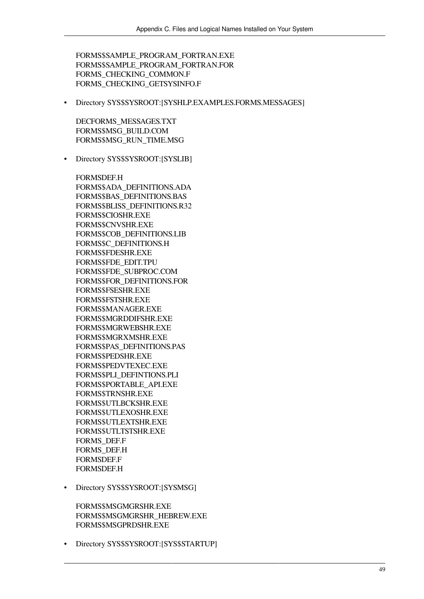FORMS\$SAMPLE\_PROGRAM\_FORTRAN.EXE FORMS\$SAMPLE\_PROGRAM\_FORTRAN.FOR FORMS\_CHECKING\_COMMON.F FORMS\_CHECKING\_GETSYSINFO.F

• Directory SYS\$SYSROOT:[SYSHLP.EXAMPLES.FORMS.MESSAGES]

DECFORMS\_MESSAGES.TXT FORMS\$MSG\_BUILD.COM FORMS\$MSG\_RUN\_TIME.MSG

• Directory SYS\$SYSROOT:[SYSLIB]

FORMSDEF.H FORMS\$ADA\_DEFINITIONS.ADA FORMS\$BAS\_DEFINITIONS.BAS FORMS\$BLISS\_DEFINITIONS.R32 FORMS\$CIOSHR.EXE FORMS\$CNVSHR.EXE FORMS\$COB\_DEFINITIONS.LIB FORMS\$C\_DEFINITIONS.H FORMS\$FDESHR.EXE FORMS\$FDE\_EDIT.TPU FORMS\$FDE\_SUBPROC.COM FORMS\$FOR\_DEFINITIONS.FOR FORMS\$FSESHR.EXE FORMS\$FSTSHR.EXE FORMS\$MANAGER.EXE FORMS\$MGRDDIFSHR.EXE FORMS\$MGRWEBSHR.EXE FORMS\$MGRXMSHR.EXE FORMS\$PAS\_DEFINITIONS.PAS FORMS\$PEDSHR.EXE FORMS\$PEDVTEXEC.EXE FORMS\$PLI\_DEFINTIONS.PLI FORMS\$PORTABLE\_API.EXE FORMS\$TRNSHR.EXE FORMS\$UTLBCKSHR.EXE FORMS\$UTLEXOSHR.EXE FORMS\$UTLEXTSHR.EXE FORMS\$UTLTSTSHR.EXE FORMS\_DEF.F FORMS\_DEF.H FORMSDEF.F FORMSDEF.H

• Directory SYS\$SYSROOT:[SYSMSG]

FORMS\$MSGMGRSHR.EXE FORMS\$MSGMGRSHR\_HEBREW.EXE FORMS\$MSGPRDSHR.EXE

• Directory SYS\$SYSROOT:[SYS\$STARTUP]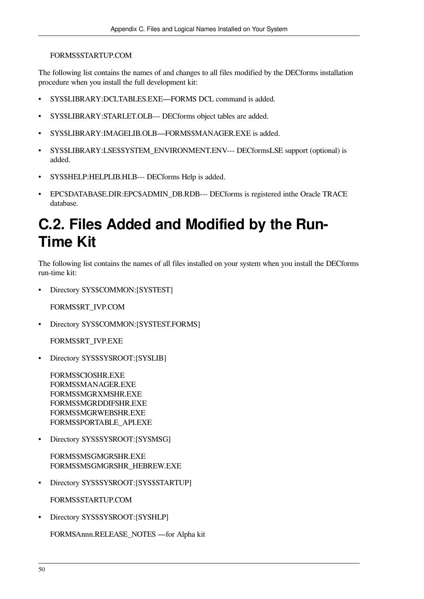### FORMS\$STARTUP.COM

The following list contains the names of and changes to all files modified by the DECforms installation procedure when you install the full development kit:

- SYS\$LIBRARY:DCLTABLES.EXE—FORMS DCL command is added.
- SYS\$LIBRARY:STARLET.OLB--- DECforms object tables are added.
- SYS\$LIBRARY:IMAGELIB.OLB—FORMS\$MANAGER.EXE is added.
- SYS\$LIBRARY:LSE\$SYSTEM\_ENVIRONMENT.ENV--- DECformsLSE support (optional) is added.
- SYS\$HELP:HELPLIB.HLB--- DECforms Help is added.
- EPC\$DATABASE.DIR:EPC\$ADMIN\_DB.RDB--- DECforms is registered inthe Oracle TRACE database.

## <span id="page-57-0"></span>**C.2. Files Added and Modified by the Run-Time Kit**

The following list contains the names of all files installed on your system when you install the DECforms run-time kit:

• Directory SYS\$COMMON:[SYSTEST]

FORMS\$RT\_IVP.COM

• Directory SYS\$COMMON:[SYSTEST.FORMS]

FORMS\$RT\_IVP.EXE

• Directory SYS\$SYSROOT:[SYSLIB]

FORMS\$CIOSHR.EXE FORMS\$MANAGER.EXE FORMS\$MGRXMSHR.EXE FORMS\$MGRDDIFSHR.EXE FORMS\$MGRWEBSHR.EXE FORMS\$PORTABLE\_API.EXE

• Directory SYS\$SYSROOT:[SYSMSG]

FORMS\$MSGMGRSHR.EXE FORMS\$MSGMGRSHR\_HEBREW.EXE

• Directory SYS\$SYSROOT:[SYS\$STARTUP]

FORMS\$STARTUP.COM

• Directory SYS\$SYSROOT:[SYSHLP]

FORMSAnnn.RELEASE\_NOTES —for Alpha kit